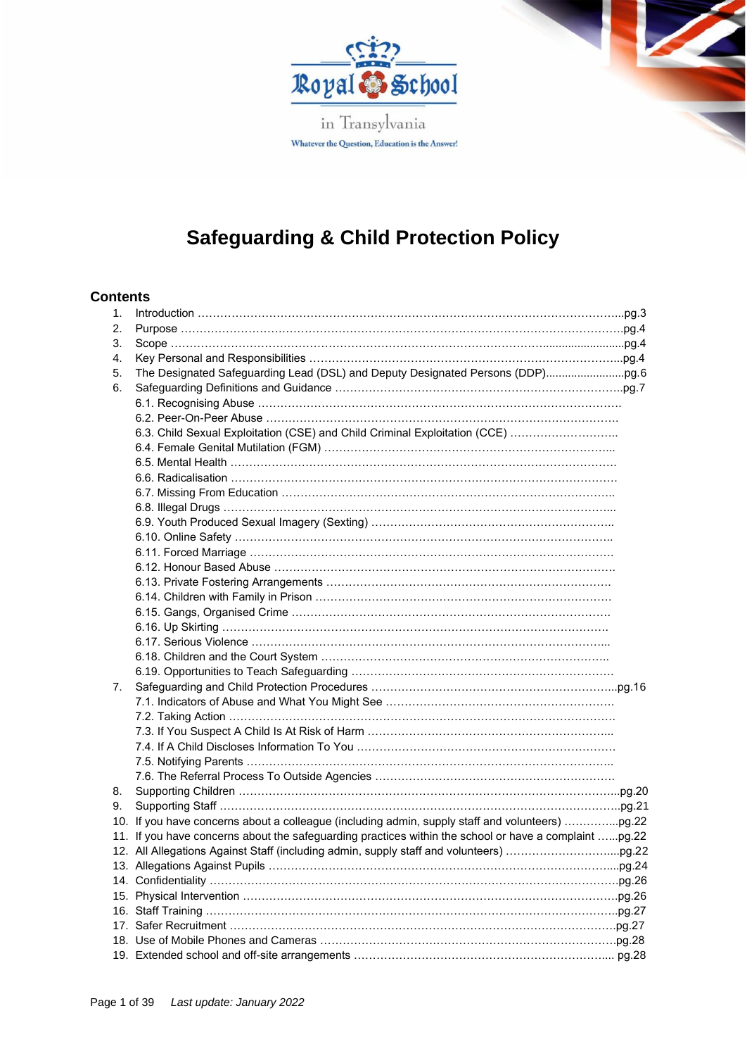

in Transylvania Whatever the Question, Education is the Answer!

# **Safeguarding & Child Protection Policy**

### **Contents**

| 1. |                                                                                                       |  |
|----|-------------------------------------------------------------------------------------------------------|--|
| 2. |                                                                                                       |  |
| 3. |                                                                                                       |  |
| 4. |                                                                                                       |  |
| 5. |                                                                                                       |  |
| 6. |                                                                                                       |  |
|    |                                                                                                       |  |
|    |                                                                                                       |  |
|    | 6.3. Child Sexual Exploitation (CSE) and Child Criminal Exploitation (CCE)                            |  |
|    |                                                                                                       |  |
|    |                                                                                                       |  |
|    |                                                                                                       |  |
|    |                                                                                                       |  |
|    |                                                                                                       |  |
|    |                                                                                                       |  |
|    |                                                                                                       |  |
|    |                                                                                                       |  |
|    |                                                                                                       |  |
|    |                                                                                                       |  |
|    |                                                                                                       |  |
|    |                                                                                                       |  |
|    |                                                                                                       |  |
|    |                                                                                                       |  |
|    |                                                                                                       |  |
|    |                                                                                                       |  |
| 7. |                                                                                                       |  |
|    |                                                                                                       |  |
|    |                                                                                                       |  |
|    |                                                                                                       |  |
|    |                                                                                                       |  |
|    |                                                                                                       |  |
|    |                                                                                                       |  |
| 8. |                                                                                                       |  |
| 9. |                                                                                                       |  |
|    | 10. If you have concerns about a colleague (including admin, supply staff and volunteers) pg.22       |  |
|    | 11. If you have concerns about the safeguarding practices within the school or have a complaint pg.22 |  |
|    |                                                                                                       |  |
|    |                                                                                                       |  |
|    |                                                                                                       |  |
|    |                                                                                                       |  |
|    |                                                                                                       |  |
|    |                                                                                                       |  |
|    |                                                                                                       |  |
|    |                                                                                                       |  |
|    |                                                                                                       |  |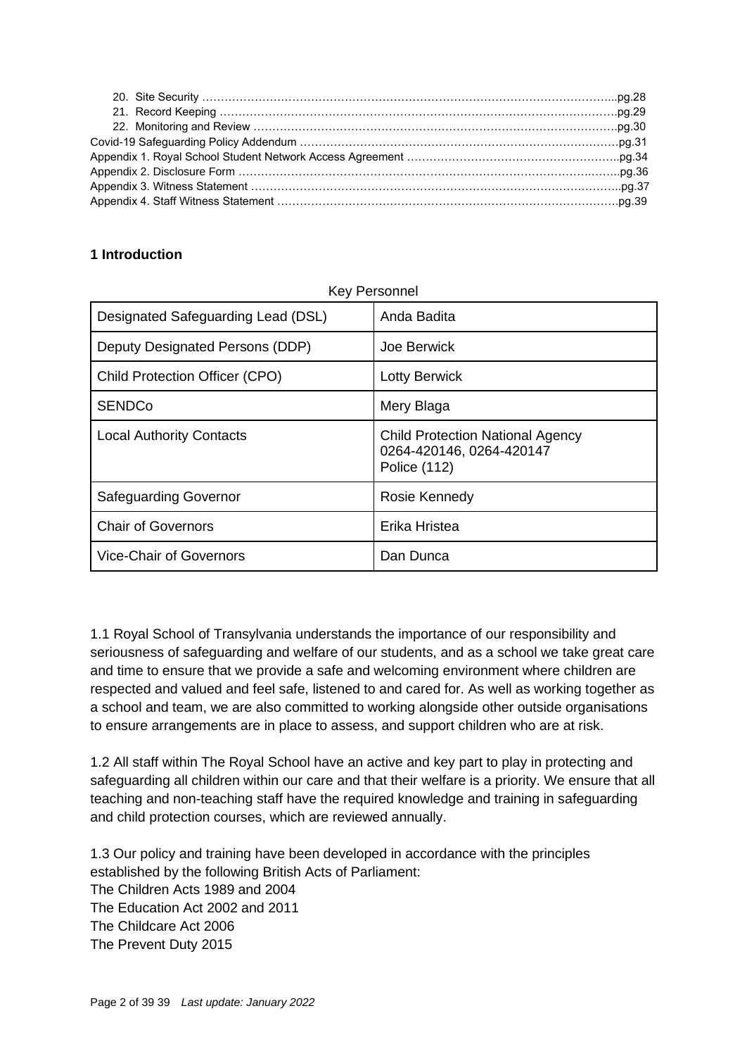### **1 Introduction**

| Designated Safeguarding Lead (DSL) | Anda Badita                                                                         |
|------------------------------------|-------------------------------------------------------------------------------------|
| Deputy Designated Persons (DDP)    | Joe Berwick                                                                         |
| Child Protection Officer (CPO)     | <b>Lotty Berwick</b>                                                                |
| <b>SENDCo</b>                      | Mery Blaga                                                                          |
| <b>Local Authority Contacts</b>    | <b>Child Protection National Agency</b><br>0264-420146, 0264-420147<br>Police (112) |
| <b>Safeguarding Governor</b>       | Rosie Kennedy                                                                       |
| <b>Chair of Governors</b>          | Erika Hristea                                                                       |
| <b>Vice-Chair of Governors</b>     | Dan Dunca                                                                           |

1.1 Royal School of Transylvania understands the importance of our responsibility and seriousness of safeguarding and welfare of our students, and as a school we take great care and time to ensure that we provide a safe and welcoming environment where children are respected and valued and feel safe, listened to and cared for. As well as working together as a school and team, we are also committed to working alongside other outside organisations to ensure arrangements are in place to assess, and support children who are at risk.

1.2 All staff within The Royal School have an active and key part to play in protecting and safeguarding all children within our care and that their welfare is a priority. We ensure that all teaching and non-teaching staff have the required knowledge and training in safeguarding and child protection courses, which are reviewed annually.

1.3 Our policy and training have been developed in accordance with the principles established by the following British Acts of Parliament: The Children Acts 1989 and 2004 The Education Act 2002 and 2011 The Childcare Act 2006 The Prevent Duty 2015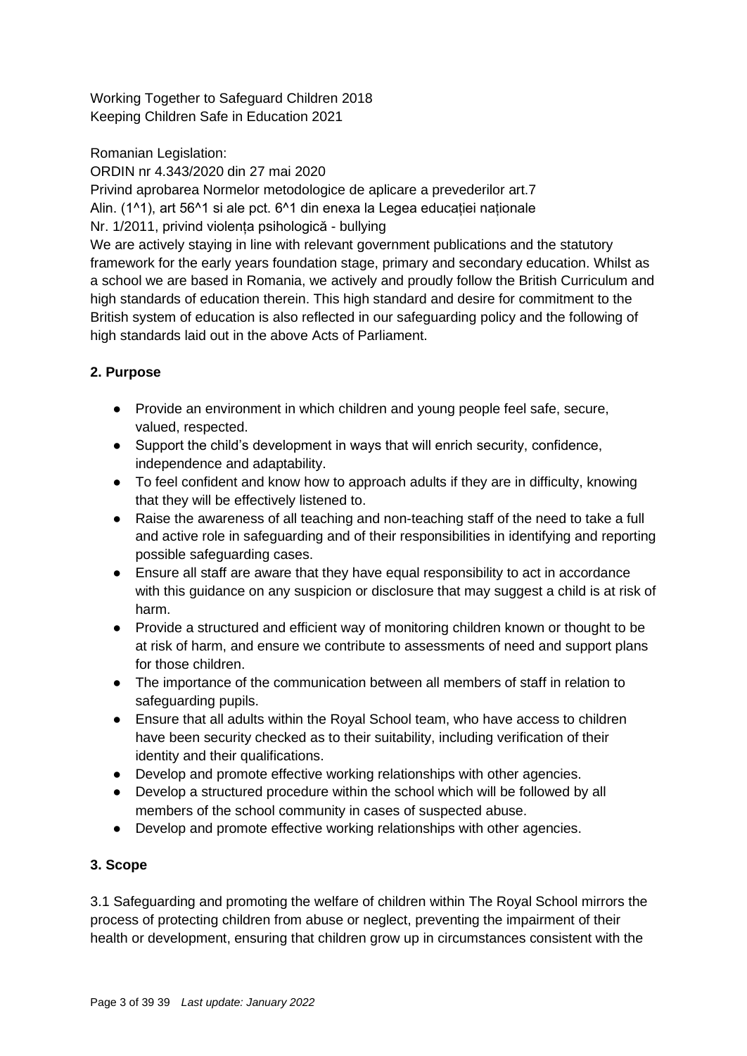Working Together to Safeguard Children 2018 Keeping Children Safe in Education 2021

Romanian Legislation:

ORDIN nr 4.343/2020 din 27 mai 2020 Privind aprobarea Normelor metodologice de aplicare a prevederilor art.7 Alin. (1^1), art 56^1 si ale pct. 6^1 din enexa la Legea educației naționale Nr. 1/2011, privind violența psihologică - bullying

We are actively staying in line with relevant government publications and the statutory framework for the early years foundation stage, primary and secondary education. Whilst as a school we are based in Romania, we actively and proudly follow the British Curriculum and high standards of education therein. This high standard and desire for commitment to the British system of education is also reflected in our safeguarding policy and the following of high standards laid out in the above Acts of Parliament.

# **2. Purpose**

- Provide an environment in which children and young people feel safe, secure, valued, respected.
- Support the child's development in ways that will enrich security, confidence, independence and adaptability.
- To feel confident and know how to approach adults if they are in difficulty, knowing that they will be effectively listened to.
- Raise the awareness of all teaching and non-teaching staff of the need to take a full and active role in safeguarding and of their responsibilities in identifying and reporting possible safeguarding cases.
- Ensure all staff are aware that they have equal responsibility to act in accordance with this guidance on any suspicion or disclosure that may suggest a child is at risk of harm.
- Provide a structured and efficient way of monitoring children known or thought to be at risk of harm, and ensure we contribute to assessments of need and support plans for those children.
- The importance of the communication between all members of staff in relation to safeguarding pupils.
- Ensure that all adults within the Royal School team, who have access to children have been security checked as to their suitability, including verification of their identity and their qualifications.
- Develop and promote effective working relationships with other agencies.
- Develop a structured procedure within the school which will be followed by all members of the school community in cases of suspected abuse.
- Develop and promote effective working relationships with other agencies.

# **3. Scope**

3.1 Safeguarding and promoting the welfare of children within The Royal School mirrors the process of protecting children from abuse or neglect, preventing the impairment of their health or development, ensuring that children grow up in circumstances consistent with the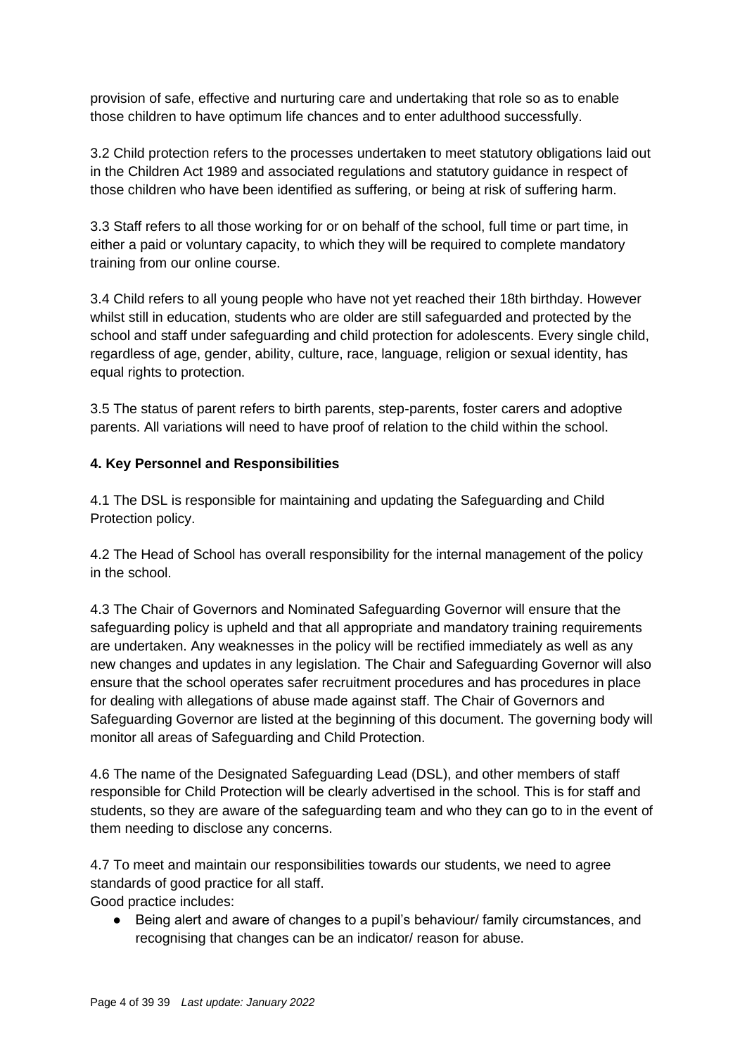provision of safe, effective and nurturing care and undertaking that role so as to enable those children to have optimum life chances and to enter adulthood successfully.

3.2 Child protection refers to the processes undertaken to meet statutory obligations laid out in the Children Act 1989 and associated regulations and statutory guidance in respect of those children who have been identified as suffering, or being at risk of suffering harm.

3.3 Staff refers to all those working for or on behalf of the school, full time or part time, in either a paid or voluntary capacity, to which they will be required to complete mandatory training from our online course.

3.4 Child refers to all young people who have not yet reached their 18th birthday. However whilst still in education, students who are older are still safeguarded and protected by the school and staff under safeguarding and child protection for adolescents. Every single child, regardless of age, gender, ability, culture, race, language, religion or sexual identity, has equal rights to protection.

3.5 The status of parent refers to birth parents, step-parents, foster carers and adoptive parents. All variations will need to have proof of relation to the child within the school.

#### **4. Key Personnel and Responsibilities**

4.1 The DSL is responsible for maintaining and updating the Safeguarding and Child Protection policy.

4.2 The Head of School has overall responsibility for the internal management of the policy in the school.

4.3 The Chair of Governors and Nominated Safeguarding Governor will ensure that the safeguarding policy is upheld and that all appropriate and mandatory training requirements are undertaken. Any weaknesses in the policy will be rectified immediately as well as any new changes and updates in any legislation. The Chair and Safeguarding Governor will also ensure that the school operates safer recruitment procedures and has procedures in place for dealing with allegations of abuse made against staff. The Chair of Governors and Safeguarding Governor are listed at the beginning of this document. The governing body will monitor all areas of Safeguarding and Child Protection.

4.6 The name of the Designated Safeguarding Lead (DSL), and other members of staff responsible for Child Protection will be clearly advertised in the school. This is for staff and students, so they are aware of the safeguarding team and who they can go to in the event of them needing to disclose any concerns.

4.7 To meet and maintain our responsibilities towards our students, we need to agree standards of good practice for all staff.

Good practice includes:

● Being alert and aware of changes to a pupil's behaviour/ family circumstances, and recognising that changes can be an indicator/ reason for abuse.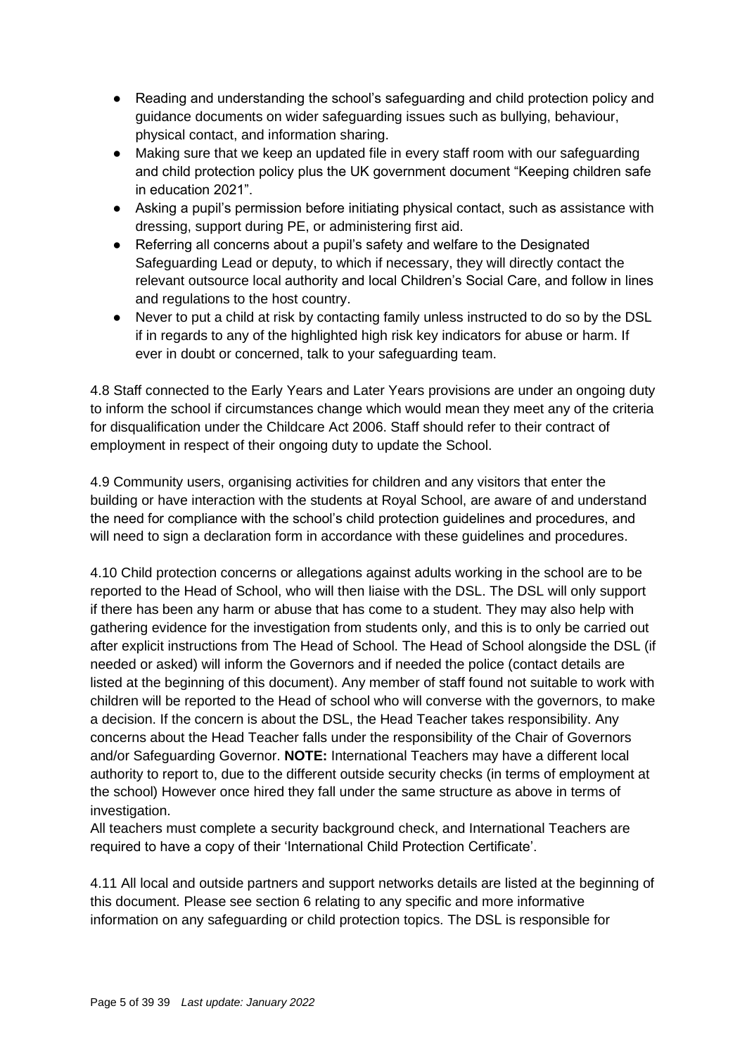- Reading and understanding the school's safeguarding and child protection policy and guidance documents on wider safeguarding issues such as bullying, behaviour, physical contact, and information sharing.
- Making sure that we keep an updated file in every staff room with our safeguarding and child protection policy plus the UK government document "Keeping children safe in education 2021".
- Asking a pupil's permission before initiating physical contact, such as assistance with dressing, support during PE, or administering first aid.
- Referring all concerns about a pupil's safety and welfare to the Designated Safeguarding Lead or deputy, to which if necessary, they will directly contact the relevant outsource local authority and local Children's Social Care, and follow in lines and regulations to the host country.
- Never to put a child at risk by contacting family unless instructed to do so by the DSL if in regards to any of the highlighted high risk key indicators for abuse or harm. If ever in doubt or concerned, talk to your safeguarding team.

4.8 Staff connected to the Early Years and Later Years provisions are under an ongoing duty to inform the school if circumstances change which would mean they meet any of the criteria for disqualification under the Childcare Act 2006. Staff should refer to their contract of employment in respect of their ongoing duty to update the School.

4.9 Community users, organising activities for children and any visitors that enter the building or have interaction with the students at Royal School, are aware of and understand the need for compliance with the school's child protection guidelines and procedures, and will need to sign a declaration form in accordance with these guidelines and procedures.

4.10 Child protection concerns or allegations against adults working in the school are to be reported to the Head of School, who will then liaise with the DSL. The DSL will only support if there has been any harm or abuse that has come to a student. They may also help with gathering evidence for the investigation from students only, and this is to only be carried out after explicit instructions from The Head of School. The Head of School alongside the DSL (if needed or asked) will inform the Governors and if needed the police (contact details are listed at the beginning of this document). Any member of staff found not suitable to work with children will be reported to the Head of school who will converse with the governors, to make a decision. If the concern is about the DSL, the Head Teacher takes responsibility. Any concerns about the Head Teacher falls under the responsibility of the Chair of Governors and/or Safeguarding Governor. **NOTE:** International Teachers may have a different local authority to report to, due to the different outside security checks (in terms of employment at the school) However once hired they fall under the same structure as above in terms of investigation.

All teachers must complete a security background check, and International Teachers are required to have a copy of their 'International Child Protection Certificate'.

4.11 All local and outside partners and support networks details are listed at the beginning of this document. Please see section 6 relating to any specific and more informative information on any safeguarding or child protection topics. The DSL is responsible for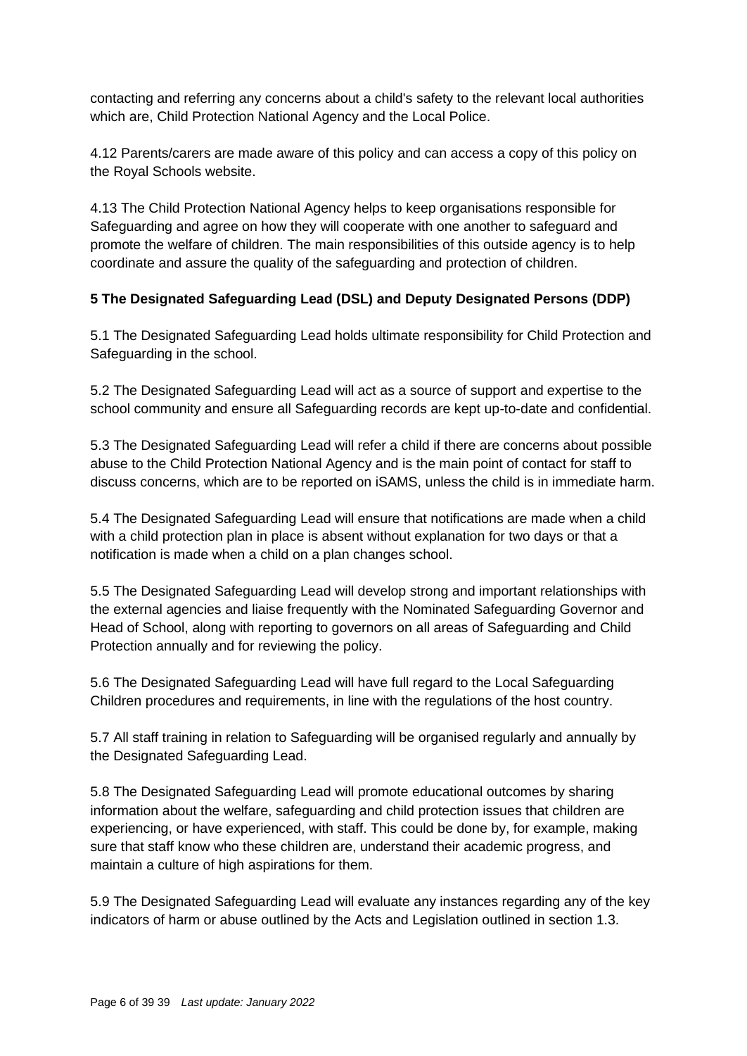contacting and referring any concerns about a child's safety to the relevant local authorities which are, Child Protection National Agency and the Local Police.

4.12 Parents/carers are made aware of this policy and can access a copy of this policy on the Royal Schools website.

4.13 The Child Protection National Agency helps to keep organisations responsible for Safeguarding and agree on how they will cooperate with one another to safeguard and promote the welfare of children. The main responsibilities of this outside agency is to help coordinate and assure the quality of the safeguarding and protection of children.

## **5 The Designated Safeguarding Lead (DSL) and Deputy Designated Persons (DDP)**

5.1 The Designated Safeguarding Lead holds ultimate responsibility for Child Protection and Safeguarding in the school.

5.2 The Designated Safeguarding Lead will act as a source of support and expertise to the school community and ensure all Safeguarding records are kept up-to-date and confidential.

5.3 The Designated Safeguarding Lead will refer a child if there are concerns about possible abuse to the Child Protection National Agency and is the main point of contact for staff to discuss concerns, which are to be reported on iSAMS, unless the child is in immediate harm.

5.4 The Designated Safeguarding Lead will ensure that notifications are made when a child with a child protection plan in place is absent without explanation for two days or that a notification is made when a child on a plan changes school.

5.5 The Designated Safeguarding Lead will develop strong and important relationships with the external agencies and liaise frequently with the Nominated Safeguarding Governor and Head of School, along with reporting to governors on all areas of Safeguarding and Child Protection annually and for reviewing the policy.

5.6 The Designated Safeguarding Lead will have full regard to the Local Safeguarding Children procedures and requirements, in line with the regulations of the host country.

5.7 All staff training in relation to Safeguarding will be organised regularly and annually by the Designated Safeguarding Lead.

5.8 The Designated Safeguarding Lead will promote educational outcomes by sharing information about the welfare, safeguarding and child protection issues that children are experiencing, or have experienced, with staff. This could be done by, for example, making sure that staff know who these children are, understand their academic progress, and maintain a culture of high aspirations for them.

5.9 The Designated Safeguarding Lead will evaluate any instances regarding any of the key indicators of harm or abuse outlined by the Acts and Legislation outlined in section 1.3.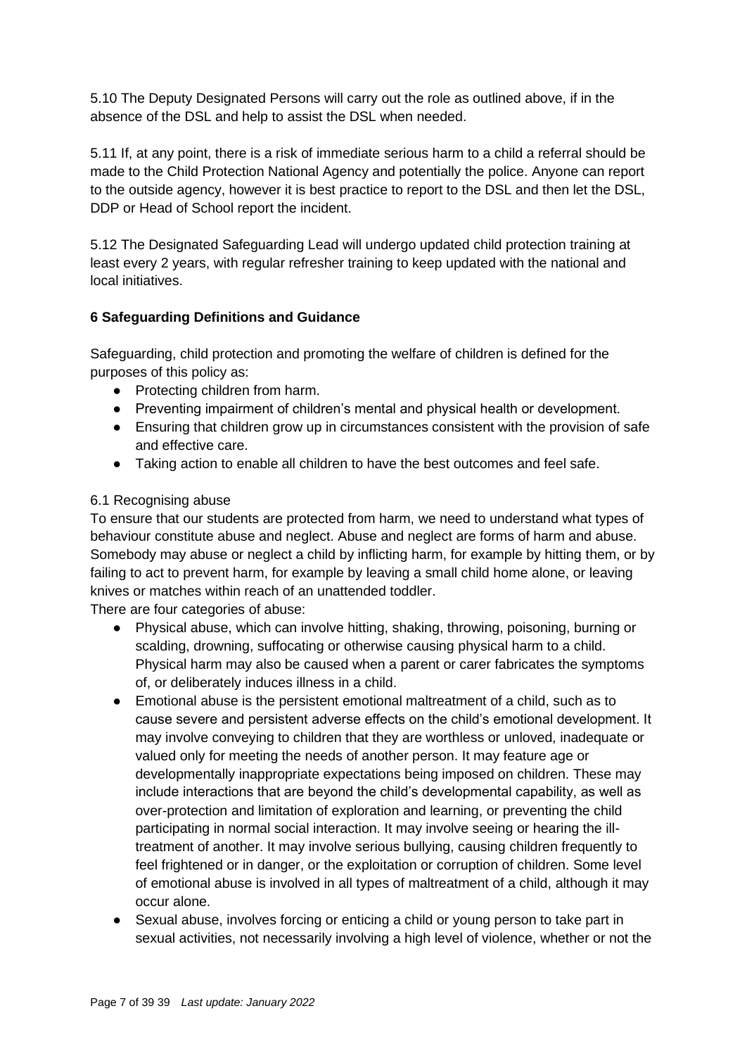5.10 The Deputy Designated Persons will carry out the role as outlined above, if in the absence of the DSL and help to assist the DSL when needed.

5.11 If, at any point, there is a risk of immediate serious harm to a child a referral should be made to the Child Protection National Agency and potentially the police. Anyone can report to the outside agency, however it is best practice to report to the DSL and then let the DSL, DDP or Head of School report the incident.

5.12 The Designated Safeguarding Lead will undergo updated child protection training at least every 2 years, with regular refresher training to keep updated with the national and local initiatives.

#### **6 Safeguarding Definitions and Guidance**

Safeguarding, child protection and promoting the welfare of children is defined for the purposes of this policy as:

- Protecting children from harm.
- Preventing impairment of children's mental and physical health or development.
- Ensuring that children grow up in circumstances consistent with the provision of safe and effective care.
- Taking action to enable all children to have the best outcomes and feel safe.

#### 6.1 Recognising abuse

To ensure that our students are protected from harm, we need to understand what types of behaviour constitute abuse and neglect. Abuse and neglect are forms of harm and abuse. Somebody may abuse or neglect a child by inflicting harm, for example by hitting them, or by failing to act to prevent harm, for example by leaving a small child home alone, or leaving knives or matches within reach of an unattended toddler.

There are four categories of abuse:

- Physical abuse, which can involve hitting, shaking, throwing, poisoning, burning or scalding, drowning, suffocating or otherwise causing physical harm to a child. Physical harm may also be caused when a parent or carer fabricates the symptoms of, or deliberately induces illness in a child.
- Emotional abuse is the persistent emotional maltreatment of a child, such as to cause severe and persistent adverse effects on the child's emotional development. It may involve conveying to children that they are worthless or unloved, inadequate or valued only for meeting the needs of another person. It may feature age or developmentally inappropriate expectations being imposed on children. These may include interactions that are beyond the child's developmental capability, as well as over-protection and limitation of exploration and learning, or preventing the child participating in normal social interaction. It may involve seeing or hearing the illtreatment of another. It may involve serious bullying, causing children frequently to feel frightened or in danger, or the exploitation or corruption of children. Some level of emotional abuse is involved in all types of maltreatment of a child, although it may occur alone.
- Sexual abuse, involves forcing or enticing a child or young person to take part in sexual activities, not necessarily involving a high level of violence, whether or not the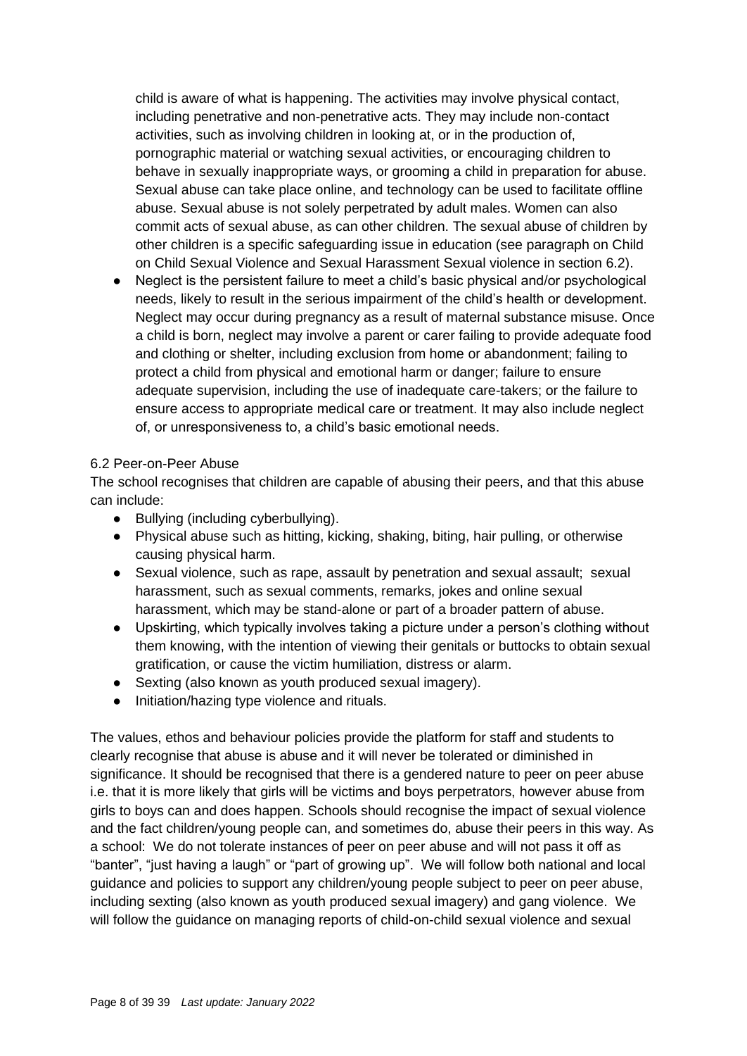child is aware of what is happening. The activities may involve physical contact, including penetrative and non-penetrative acts. They may include non-contact activities, such as involving children in looking at, or in the production of, pornographic material or watching sexual activities, or encouraging children to behave in sexually inappropriate ways, or grooming a child in preparation for abuse. Sexual abuse can take place online, and technology can be used to facilitate offline abuse. Sexual abuse is not solely perpetrated by adult males. Women can also commit acts of sexual abuse, as can other children. The sexual abuse of children by other children is a specific safeguarding issue in education (see paragraph on Child on Child Sexual Violence and Sexual Harassment Sexual violence in section 6.2).

Neglect is the persistent failure to meet a child's basic physical and/or psychological needs, likely to result in the serious impairment of the child's health or development. Neglect may occur during pregnancy as a result of maternal substance misuse. Once a child is born, neglect may involve a parent or carer failing to provide adequate food and clothing or shelter, including exclusion from home or abandonment; failing to protect a child from physical and emotional harm or danger; failure to ensure adequate supervision, including the use of inadequate care-takers; or the failure to ensure access to appropriate medical care or treatment. It may also include neglect of, or unresponsiveness to, a child's basic emotional needs.

#### 6.2 Peer-on-Peer Abuse

The school recognises that children are capable of abusing their peers, and that this abuse can include:

- Bullying (including cyberbullying).
- Physical abuse such as hitting, kicking, shaking, biting, hair pulling, or otherwise causing physical harm.
- Sexual violence, such as rape, assault by penetration and sexual assault; sexual harassment, such as sexual comments, remarks, jokes and online sexual harassment, which may be stand-alone or part of a broader pattern of abuse.
- Upskirting, which typically involves taking a picture under a person's clothing without them knowing, with the intention of viewing their genitals or buttocks to obtain sexual gratification, or cause the victim humiliation, distress or alarm.
- Sexting (also known as youth produced sexual imagery).
- Initiation/hazing type violence and rituals.

The values, ethos and behaviour policies provide the platform for staff and students to clearly recognise that abuse is abuse and it will never be tolerated or diminished in significance. It should be recognised that there is a gendered nature to peer on peer abuse i.e. that it is more likely that girls will be victims and boys perpetrators, however abuse from girls to boys can and does happen. Schools should recognise the impact of sexual violence and the fact children/young people can, and sometimes do, abuse their peers in this way. As a school: We do not tolerate instances of peer on peer abuse and will not pass it off as "banter", "just having a laugh" or "part of growing up". We will follow both national and local guidance and policies to support any children/young people subject to peer on peer abuse, including sexting (also known as youth produced sexual imagery) and gang violence. We will follow the guidance on managing reports of child-on-child sexual violence and sexual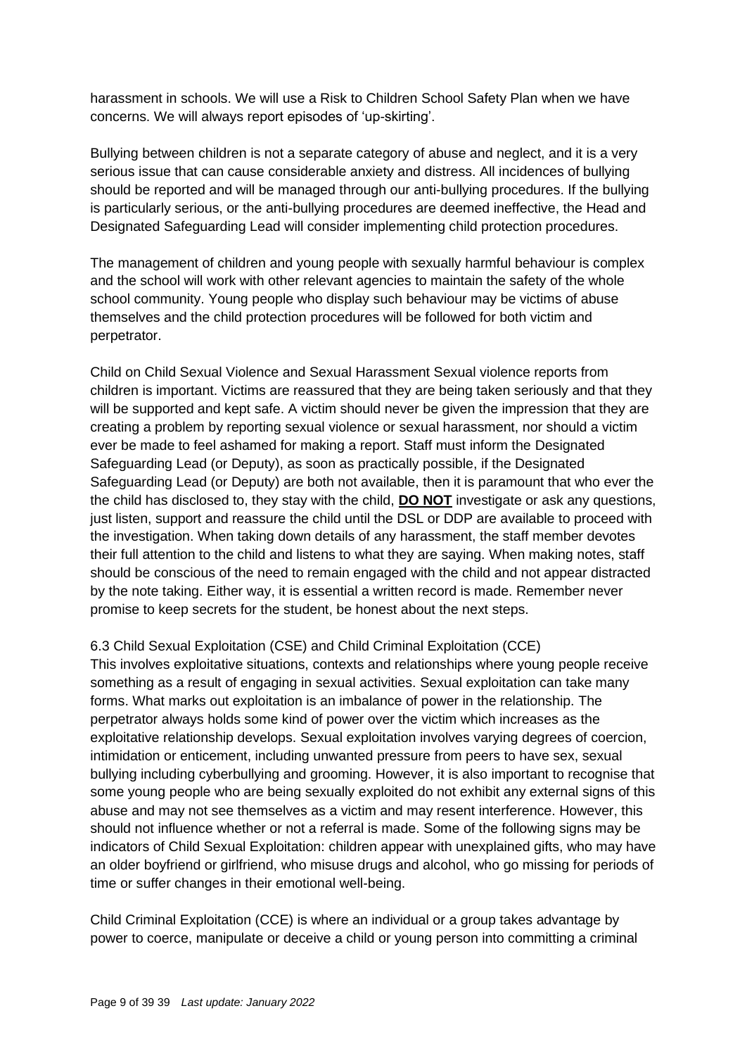harassment in schools. We will use a Risk to Children School Safety Plan when we have concerns. We will always report episodes of 'up-skirting'.

Bullying between children is not a separate category of abuse and neglect, and it is a very serious issue that can cause considerable anxiety and distress. All incidences of bullying should be reported and will be managed through our anti-bullying procedures. If the bullying is particularly serious, or the anti-bullying procedures are deemed ineffective, the Head and Designated Safeguarding Lead will consider implementing child protection procedures.

The management of children and young people with sexually harmful behaviour is complex and the school will work with other relevant agencies to maintain the safety of the whole school community. Young people who display such behaviour may be victims of abuse themselves and the child protection procedures will be followed for both victim and perpetrator.

Child on Child Sexual Violence and Sexual Harassment Sexual violence reports from children is important. Victims are reassured that they are being taken seriously and that they will be supported and kept safe. A victim should never be given the impression that they are creating a problem by reporting sexual violence or sexual harassment, nor should a victim ever be made to feel ashamed for making a report. Staff must inform the Designated Safeguarding Lead (or Deputy), as soon as practically possible, if the Designated Safeguarding Lead (or Deputy) are both not available, then it is paramount that who ever the the child has disclosed to, they stay with the child, **DO NOT** investigate or ask any questions, just listen, support and reassure the child until the DSL or DDP are available to proceed with the investigation. When taking down details of any harassment, the staff member devotes their full attention to the child and listens to what they are saying. When making notes, staff should be conscious of the need to remain engaged with the child and not appear distracted by the note taking. Either way, it is essential a written record is made. Remember never promise to keep secrets for the student, be honest about the next steps.

### 6.3 Child Sexual Exploitation (CSE) and Child Criminal Exploitation (CCE)

This involves exploitative situations, contexts and relationships where young people receive something as a result of engaging in sexual activities. Sexual exploitation can take many forms. What marks out exploitation is an imbalance of power in the relationship. The perpetrator always holds some kind of power over the victim which increases as the exploitative relationship develops. Sexual exploitation involves varying degrees of coercion, intimidation or enticement, including unwanted pressure from peers to have sex, sexual bullying including cyberbullying and grooming. However, it is also important to recognise that some young people who are being sexually exploited do not exhibit any external signs of this abuse and may not see themselves as a victim and may resent interference. However, this should not influence whether or not a referral is made. Some of the following signs may be indicators of Child Sexual Exploitation: children appear with unexplained gifts, who may have an older boyfriend or girlfriend, who misuse drugs and alcohol, who go missing for periods of time or suffer changes in their emotional well-being.

Child Criminal Exploitation (CCE) is where an individual or a group takes advantage by power to coerce, manipulate or deceive a child or young person into committing a criminal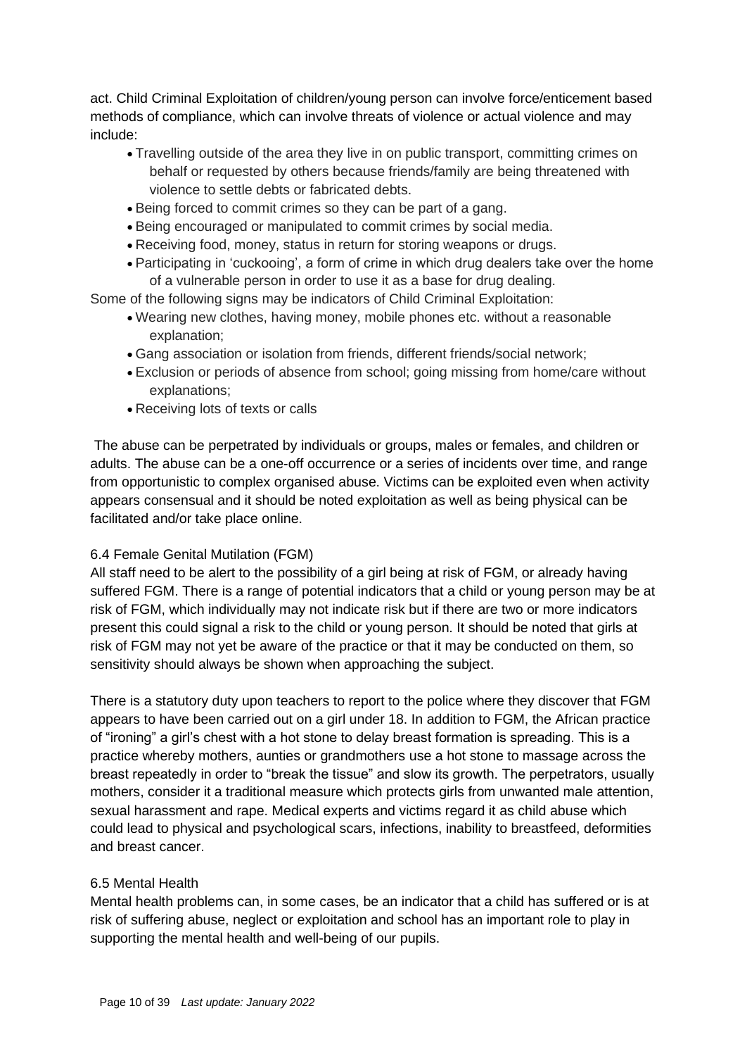act. Child Criminal Exploitation of children/young person can involve force/enticement based methods of compliance, which can involve threats of violence or actual violence and may include:

- Travelling outside of the area they live in on public transport, committing crimes on behalf or requested by others because friends/family are being threatened with violence to settle debts or fabricated debts.
- Being forced to commit crimes so they can be part of a gang.
- Being encouraged or manipulated to commit crimes by social media.
- Receiving food, money, status in return for storing weapons or drugs.
- Participating in 'cuckooing', a form of crime in which drug dealers take over the home of a vulnerable person in order to use it as a base for drug dealing.

Some of the following signs may be indicators of Child Criminal Exploitation:

- Wearing new clothes, having money, mobile phones etc. without a reasonable explanation;
- Gang association or isolation from friends, different friends/social network;
- Exclusion or periods of absence from school; going missing from home/care without explanations;
- Receiving lots of texts or calls

The abuse can be perpetrated by individuals or groups, males or females, and children or adults. The abuse can be a one-off occurrence or a series of incidents over time, and range from opportunistic to complex organised abuse. Victims can be exploited even when activity appears consensual and it should be noted exploitation as well as being physical can be facilitated and/or take place online.

#### 6.4 Female Genital Mutilation (FGM)

All staff need to be alert to the possibility of a girl being at risk of FGM, or already having suffered FGM. There is a range of potential indicators that a child or young person may be at risk of FGM, which individually may not indicate risk but if there are two or more indicators present this could signal a risk to the child or young person. It should be noted that girls at risk of FGM may not yet be aware of the practice or that it may be conducted on them, so sensitivity should always be shown when approaching the subject.

There is a statutory duty upon teachers to report to the police where they discover that FGM appears to have been carried out on a girl under 18. In addition to FGM, the African practice of "ironing" a girl's chest with a hot stone to delay breast formation is spreading. This is a practice whereby mothers, aunties or grandmothers use a hot stone to massage across the breast repeatedly in order to "break the tissue" and slow its growth. The perpetrators, usually mothers, consider it a traditional measure which protects girls from unwanted male attention, sexual harassment and rape. Medical experts and victims regard it as child abuse which could lead to physical and psychological scars, infections, inability to breastfeed, deformities and breast cancer.

#### 6.5 Mental Health

Mental health problems can, in some cases, be an indicator that a child has suffered or is at risk of suffering abuse, neglect or exploitation and school has an important role to play in supporting the mental health and well-being of our pupils.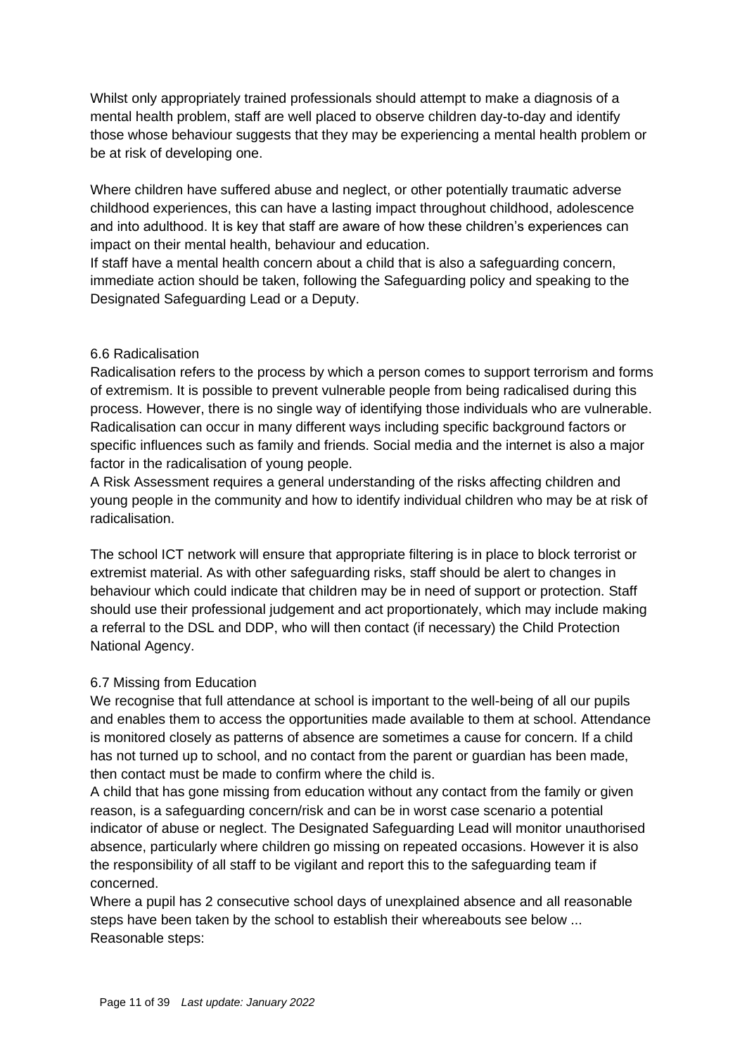Whilst only appropriately trained professionals should attempt to make a diagnosis of a mental health problem, staff are well placed to observe children day-to-day and identify those whose behaviour suggests that they may be experiencing a mental health problem or be at risk of developing one.

Where children have suffered abuse and neglect, or other potentially traumatic adverse childhood experiences, this can have a lasting impact throughout childhood, adolescence and into adulthood. It is key that staff are aware of how these children's experiences can impact on their mental health, behaviour and education.

If staff have a mental health concern about a child that is also a safeguarding concern, immediate action should be taken, following the Safeguarding policy and speaking to the Designated Safeguarding Lead or a Deputy.

#### 6.6 Radicalisation

Radicalisation refers to the process by which a person comes to support terrorism and forms of extremism. It is possible to prevent vulnerable people from being radicalised during this process. However, there is no single way of identifying those individuals who are vulnerable. Radicalisation can occur in many different ways including specific background factors or specific influences such as family and friends. Social media and the internet is also a major factor in the radicalisation of young people.

A Risk Assessment requires a general understanding of the risks affecting children and young people in the community and how to identify individual children who may be at risk of radicalisation.

The school ICT network will ensure that appropriate filtering is in place to block terrorist or extremist material. As with other safeguarding risks, staff should be alert to changes in behaviour which could indicate that children may be in need of support or protection. Staff should use their professional judgement and act proportionately, which may include making a referral to the DSL and DDP, who will then contact (if necessary) the Child Protection National Agency.

#### 6.7 Missing from Education

We recognise that full attendance at school is important to the well-being of all our pupils and enables them to access the opportunities made available to them at school. Attendance is monitored closely as patterns of absence are sometimes a cause for concern. If a child has not turned up to school, and no contact from the parent or guardian has been made, then contact must be made to confirm where the child is.

A child that has gone missing from education without any contact from the family or given reason, is a safeguarding concern/risk and can be in worst case scenario a potential indicator of abuse or neglect. The Designated Safeguarding Lead will monitor unauthorised absence, particularly where children go missing on repeated occasions. However it is also the responsibility of all staff to be vigilant and report this to the safeguarding team if concerned.

Where a pupil has 2 consecutive school days of unexplained absence and all reasonable steps have been taken by the school to establish their whereabouts see below ... Reasonable steps: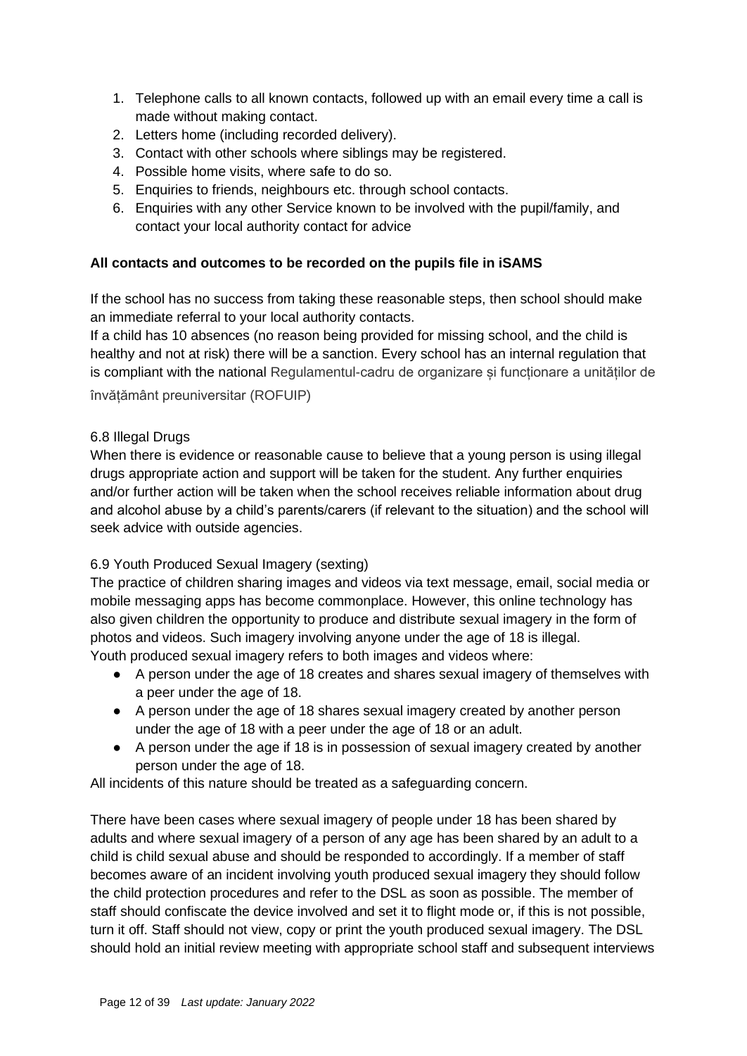- 1. Telephone calls to all known contacts, followed up with an email every time a call is made without making contact.
- 2. Letters home (including recorded delivery).
- 3. Contact with other schools where siblings may be registered.
- 4. Possible home visits, where safe to do so.
- 5. Enquiries to friends, neighbours etc. through school contacts.
- 6. Enquiries with any other Service known to be involved with the pupil/family, and contact your local authority contact for advice

### **All contacts and outcomes to be recorded on the pupils file in iSAMS**

If the school has no success from taking these reasonable steps, then school should make an immediate referral to your local authority contacts.

If a child has 10 absences (no reason being provided for missing school, and the child is healthy and not at risk) there will be a sanction. Every school has an internal regulation that is compliant with the national Regulamentul-cadru de organizare și funcționare a unităților de învățământ preuniversitar (ROFUIP)

#### 6.8 Illegal Drugs

When there is evidence or reasonable cause to believe that a young person is using illegal drugs appropriate action and support will be taken for the student. Any further enquiries and/or further action will be taken when the school receives reliable information about drug and alcohol abuse by a child's parents/carers (if relevant to the situation) and the school will seek advice with outside agencies.

### 6.9 Youth Produced Sexual Imagery (sexting)

The practice of children sharing images and videos via text message, email, social media or mobile messaging apps has become commonplace. However, this online technology has also given children the opportunity to produce and distribute sexual imagery in the form of photos and videos. Such imagery involving anyone under the age of 18 is illegal. Youth produced sexual imagery refers to both images and videos where:

- A person under the age of 18 creates and shares sexual imagery of themselves with a peer under the age of 18.
- A person under the age of 18 shares sexual imagery created by another person under the age of 18 with a peer under the age of 18 or an adult.
- A person under the age if 18 is in possession of sexual imagery created by another person under the age of 18.

All incidents of this nature should be treated as a safeguarding concern.

There have been cases where sexual imagery of people under 18 has been shared by adults and where sexual imagery of a person of any age has been shared by an adult to a child is child sexual abuse and should be responded to accordingly. If a member of staff becomes aware of an incident involving youth produced sexual imagery they should follow the child protection procedures and refer to the DSL as soon as possible. The member of staff should confiscate the device involved and set it to flight mode or, if this is not possible, turn it off. Staff should not view, copy or print the youth produced sexual imagery. The DSL should hold an initial review meeting with appropriate school staff and subsequent interviews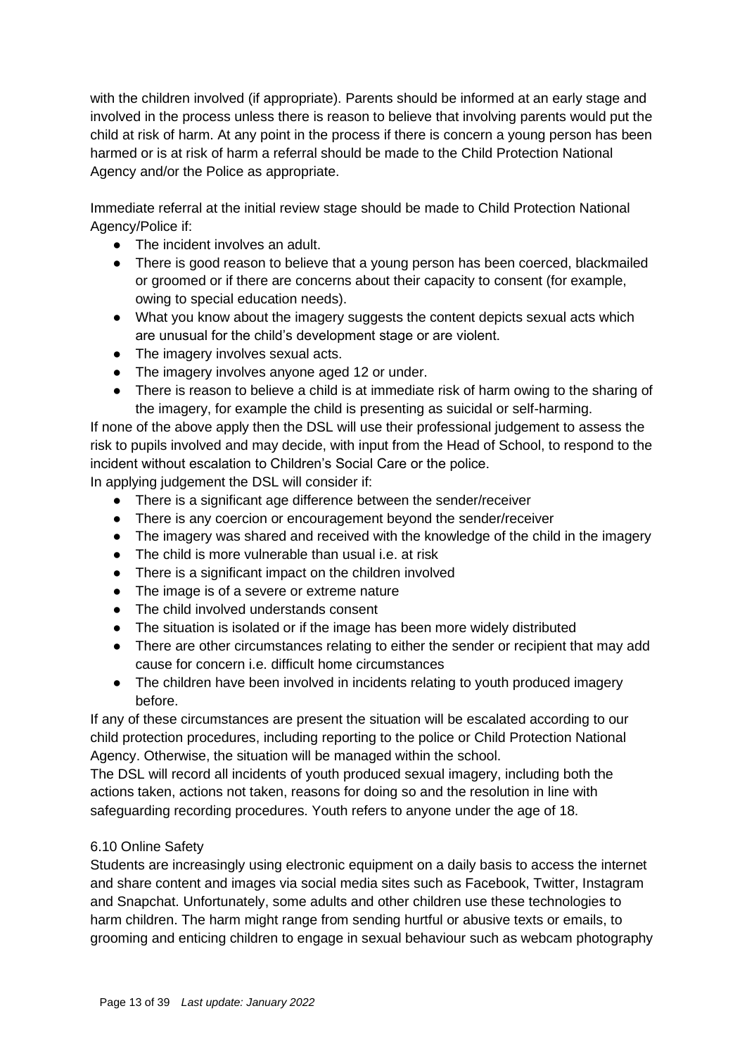with the children involved (if appropriate). Parents should be informed at an early stage and involved in the process unless there is reason to believe that involving parents would put the child at risk of harm. At any point in the process if there is concern a young person has been harmed or is at risk of harm a referral should be made to the Child Protection National Agency and/or the Police as appropriate.

Immediate referral at the initial review stage should be made to Child Protection National Agency/Police if:

- The incident involves an adult.
- There is good reason to believe that a young person has been coerced, blackmailed or groomed or if there are concerns about their capacity to consent (for example, owing to special education needs).
- What you know about the imagery suggests the content depicts sexual acts which are unusual for the child's development stage or are violent.
- The imagery involves sexual acts.
- The imagery involves anyone aged 12 or under.
- There is reason to believe a child is at immediate risk of harm owing to the sharing of the imagery, for example the child is presenting as suicidal or self-harming.

If none of the above apply then the DSL will use their professional judgement to assess the risk to pupils involved and may decide, with input from the Head of School, to respond to the incident without escalation to Children's Social Care or the police.

In applying judgement the DSL will consider if:

- There is a significant age difference between the sender/receiver
- There is any coercion or encouragement beyond the sender/receiver
- The imagery was shared and received with the knowledge of the child in the imagery
- The child is more vulnerable than usual i.e. at risk
- There is a significant impact on the children involved
- The image is of a severe or extreme nature
- The child involved understands consent
- The situation is isolated or if the image has been more widely distributed
- There are other circumstances relating to either the sender or recipient that may add cause for concern i.e. difficult home circumstances
- The children have been involved in incidents relating to youth produced imagery before.

If any of these circumstances are present the situation will be escalated according to our child protection procedures, including reporting to the police or Child Protection National Agency. Otherwise, the situation will be managed within the school.

The DSL will record all incidents of youth produced sexual imagery, including both the actions taken, actions not taken, reasons for doing so and the resolution in line with safeguarding recording procedures. Youth refers to anyone under the age of 18.

### 6.10 Online Safety

Students are increasingly using electronic equipment on a daily basis to access the internet and share content and images via social media sites such as Facebook, Twitter, Instagram and Snapchat. Unfortunately, some adults and other children use these technologies to harm children. The harm might range from sending hurtful or abusive texts or emails, to grooming and enticing children to engage in sexual behaviour such as webcam photography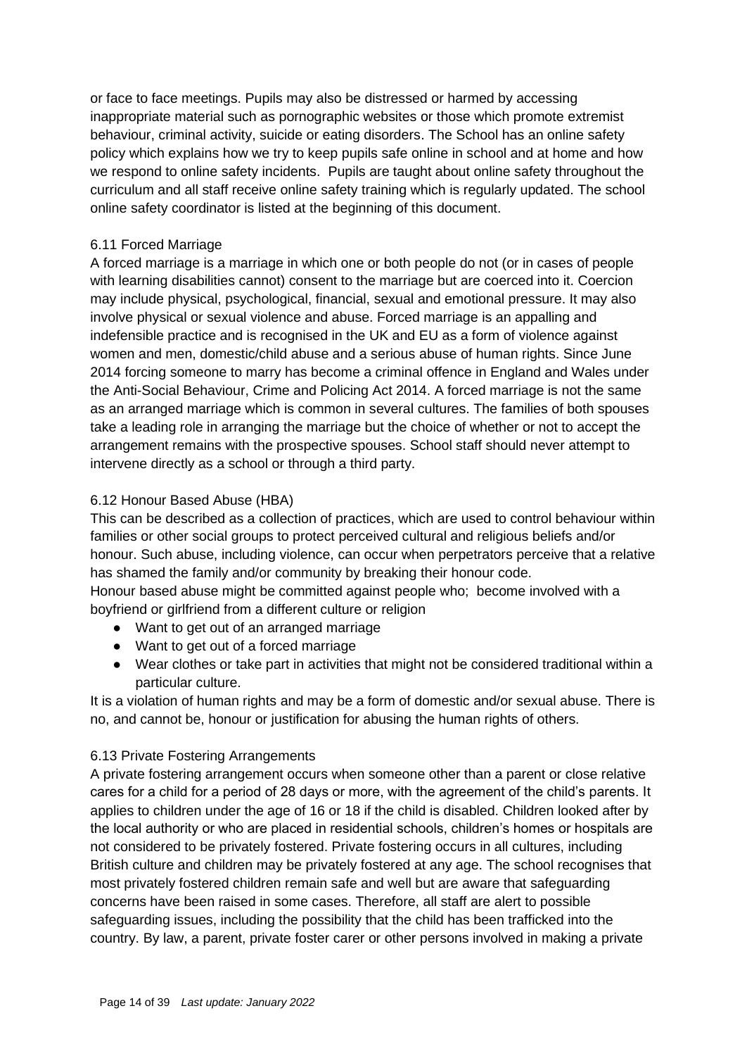or face to face meetings. Pupils may also be distressed or harmed by accessing inappropriate material such as pornographic websites or those which promote extremist behaviour, criminal activity, suicide or eating disorders. The School has an online safety policy which explains how we try to keep pupils safe online in school and at home and how we respond to online safety incidents. Pupils are taught about online safety throughout the curriculum and all staff receive online safety training which is regularly updated. The school online safety coordinator is listed at the beginning of this document.

#### 6.11 Forced Marriage

A forced marriage is a marriage in which one or both people do not (or in cases of people with learning disabilities cannot) consent to the marriage but are coerced into it. Coercion may include physical, psychological, financial, sexual and emotional pressure. It may also involve physical or sexual violence and abuse. Forced marriage is an appalling and indefensible practice and is recognised in the UK and EU as a form of violence against women and men, domestic/child abuse and a serious abuse of human rights. Since June 2014 forcing someone to marry has become a criminal offence in England and Wales under the Anti-Social Behaviour, Crime and Policing Act 2014. A forced marriage is not the same as an arranged marriage which is common in several cultures. The families of both spouses take a leading role in arranging the marriage but the choice of whether or not to accept the arrangement remains with the prospective spouses. School staff should never attempt to intervene directly as a school or through a third party.

### 6.12 Honour Based Abuse (HBA)

This can be described as a collection of practices, which are used to control behaviour within families or other social groups to protect perceived cultural and religious beliefs and/or honour. Such abuse, including violence, can occur when perpetrators perceive that a relative has shamed the family and/or community by breaking their honour code. Honour based abuse might be committed against people who; become involved with a

boyfriend or girlfriend from a different culture or religion

- Want to get out of an arranged marriage
- Want to get out of a forced marriage
- Wear clothes or take part in activities that might not be considered traditional within a particular culture.

It is a violation of human rights and may be a form of domestic and/or sexual abuse. There is no, and cannot be, honour or justification for abusing the human rights of others.

### 6.13 Private Fostering Arrangements

A private fostering arrangement occurs when someone other than a parent or close relative cares for a child for a period of 28 days or more, with the agreement of the child's parents. It applies to children under the age of 16 or 18 if the child is disabled. Children looked after by the local authority or who are placed in residential schools, children's homes or hospitals are not considered to be privately fostered. Private fostering occurs in all cultures, including British culture and children may be privately fostered at any age. The school recognises that most privately fostered children remain safe and well but are aware that safeguarding concerns have been raised in some cases. Therefore, all staff are alert to possible safeguarding issues, including the possibility that the child has been trafficked into the country. By law, a parent, private foster carer or other persons involved in making a private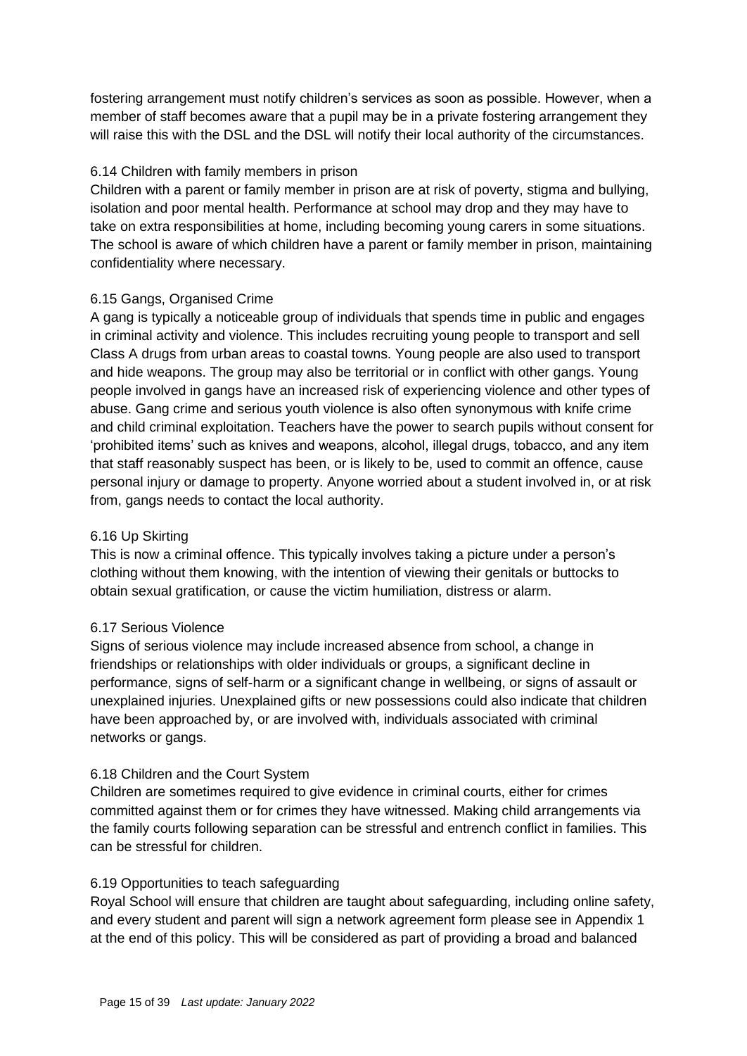fostering arrangement must notify children's services as soon as possible. However, when a member of staff becomes aware that a pupil may be in a private fostering arrangement they will raise this with the DSL and the DSL will notify their local authority of the circumstances.

#### 6.14 Children with family members in prison

Children with a parent or family member in prison are at risk of poverty, stigma and bullying, isolation and poor mental health. Performance at school may drop and they may have to take on extra responsibilities at home, including becoming young carers in some situations. The school is aware of which children have a parent or family member in prison, maintaining confidentiality where necessary.

#### 6.15 Gangs, Organised Crime

A gang is typically a noticeable group of individuals that spends time in public and engages in criminal activity and violence. This includes recruiting young people to transport and sell Class A drugs from urban areas to coastal towns. Young people are also used to transport and hide weapons. The group may also be territorial or in conflict with other gangs. Young people involved in gangs have an increased risk of experiencing violence and other types of abuse. Gang crime and serious youth violence is also often synonymous with knife crime and child criminal exploitation. Teachers have the power to search pupils without consent for 'prohibited items' such as knives and weapons, alcohol, illegal drugs, tobacco, and any item that staff reasonably suspect has been, or is likely to be, used to commit an offence, cause personal injury or damage to property. Anyone worried about a student involved in, or at risk from, gangs needs to contact the local authority.

#### 6.16 Up Skirting

This is now a criminal offence. This typically involves taking a picture under a person's clothing without them knowing, with the intention of viewing their genitals or buttocks to obtain sexual gratification, or cause the victim humiliation, distress or alarm.

#### 6.17 Serious Violence

Signs of serious violence may include increased absence from school, a change in friendships or relationships with older individuals or groups, a significant decline in performance, signs of self-harm or a significant change in wellbeing, or signs of assault or unexplained injuries. Unexplained gifts or new possessions could also indicate that children have been approached by, or are involved with, individuals associated with criminal networks or gangs.

#### 6.18 Children and the Court System

Children are sometimes required to give evidence in criminal courts, either for crimes committed against them or for crimes they have witnessed. Making child arrangements via the family courts following separation can be stressful and entrench conflict in families. This can be stressful for children.

#### 6.19 Opportunities to teach safeguarding

Royal School will ensure that children are taught about safeguarding, including online safety, and every student and parent will sign a network agreement form please see in Appendix 1 at the end of this policy. This will be considered as part of providing a broad and balanced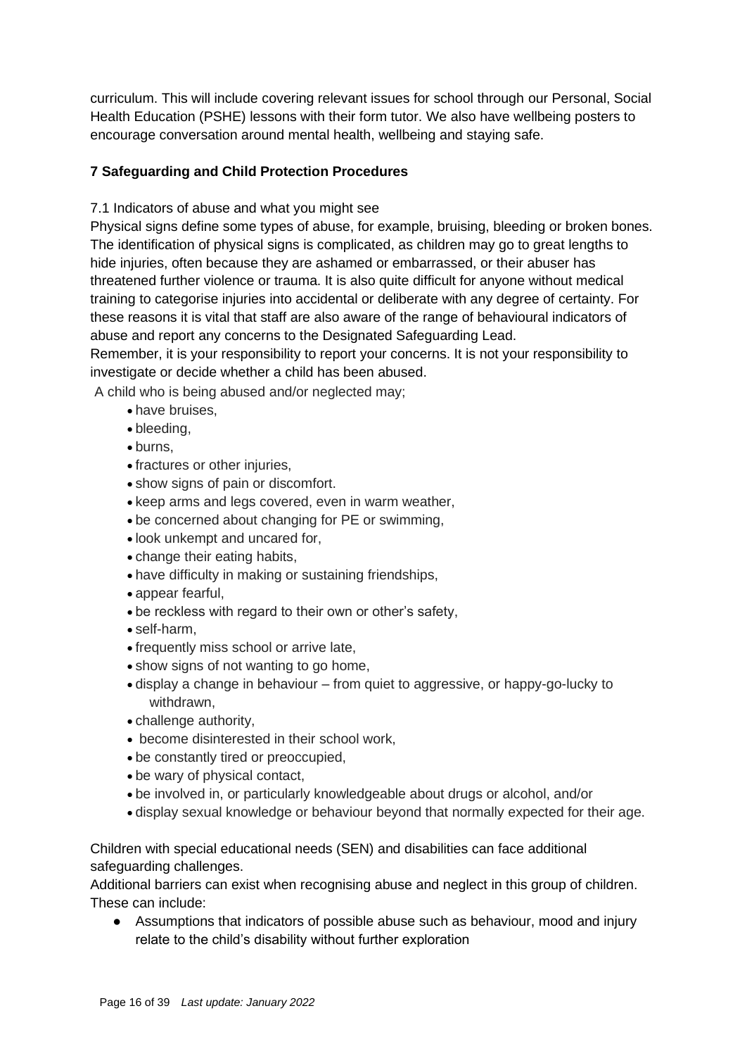curriculum. This will include covering relevant issues for school through our Personal, Social Health Education (PSHE) lessons with their form tutor. We also have wellbeing posters to encourage conversation around mental health, wellbeing and staying safe.

## **7 Safeguarding and Child Protection Procedures**

7.1 Indicators of abuse and what you might see

Physical signs define some types of abuse, for example, bruising, bleeding or broken bones. The identification of physical signs is complicated, as children may go to great lengths to hide injuries, often because they are ashamed or embarrassed, or their abuser has threatened further violence or trauma. It is also quite difficult for anyone without medical training to categorise injuries into accidental or deliberate with any degree of certainty. For these reasons it is vital that staff are also aware of the range of behavioural indicators of abuse and report any concerns to the Designated Safeguarding Lead.

Remember, it is your responsibility to report your concerns. It is not your responsibility to investigate or decide whether a child has been abused.

A child who is being abused and/or neglected may;

- have bruises,
- bleeding,
- burns,
- fractures or other injuries,
- show signs of pain or discomfort.
- keep arms and legs covered, even in warm weather,
- be concerned about changing for PE or swimming,
- look unkempt and uncared for,
- change their eating habits,
- have difficulty in making or sustaining friendships,
- appear fearful,
- be reckless with regard to their own or other's safety,
- self-harm,
- frequently miss school or arrive late,
- show signs of not wanting to go home,
- display a change in behaviour from quiet to aggressive, or happy-go-lucky to withdrawn,
- challenge authority,
- become disinterested in their school work,
- be constantly tired or preoccupied,
- be wary of physical contact,
- be involved in, or particularly knowledgeable about drugs or alcohol, and/or
- display sexual knowledge or behaviour beyond that normally expected for their age.

Children with special educational needs (SEN) and disabilities can face additional safeguarding challenges.

Additional barriers can exist when recognising abuse and neglect in this group of children. These can include:

● Assumptions that indicators of possible abuse such as behaviour, mood and injury relate to the child's disability without further exploration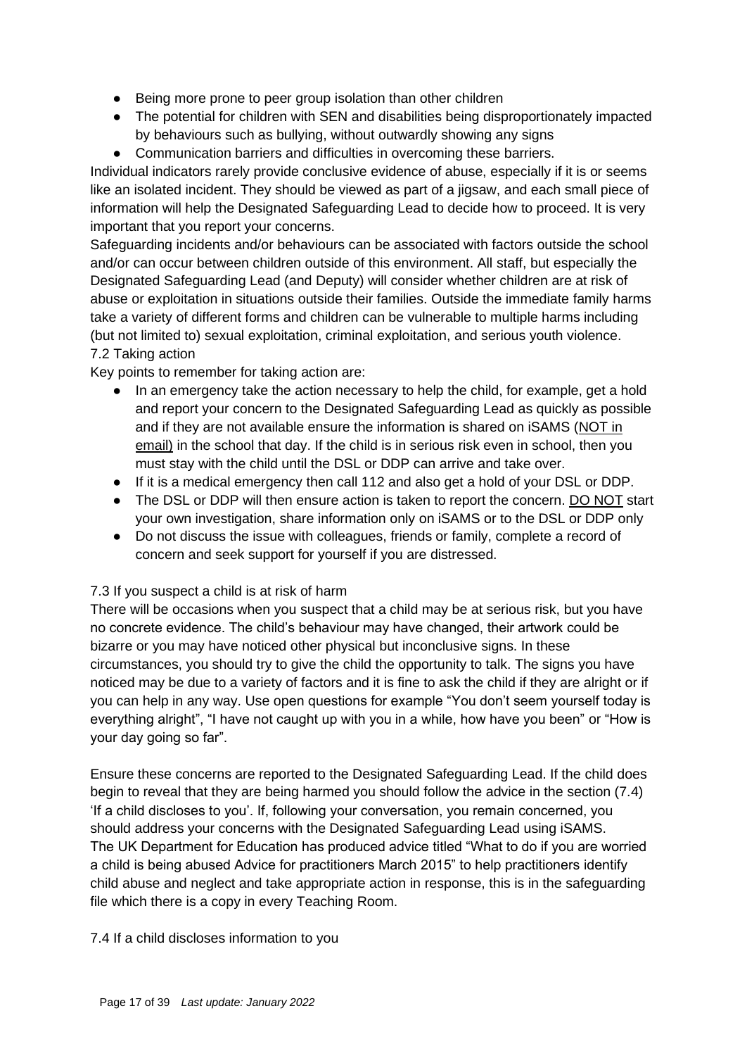- Being more prone to peer group isolation than other children
- The potential for children with SEN and disabilities being disproportionately impacted by behaviours such as bullying, without outwardly showing any signs
- Communication barriers and difficulties in overcoming these barriers.

Individual indicators rarely provide conclusive evidence of abuse, especially if it is or seems like an isolated incident. They should be viewed as part of a jigsaw, and each small piece of information will help the Designated Safeguarding Lead to decide how to proceed. It is very important that you report your concerns.

Safeguarding incidents and/or behaviours can be associated with factors outside the school and/or can occur between children outside of this environment. All staff, but especially the Designated Safeguarding Lead (and Deputy) will consider whether children are at risk of abuse or exploitation in situations outside their families. Outside the immediate family harms take a variety of different forms and children can be vulnerable to multiple harms including (but not limited to) sexual exploitation, criminal exploitation, and serious youth violence. 7.2 Taking action

Key points to remember for taking action are:

- In an emergency take the action necessary to help the child, for example, get a hold and report your concern to the Designated Safeguarding Lead as quickly as possible and if they are not available ensure the information is shared on iSAMS (NOT in email) in the school that day. If the child is in serious risk even in school, then you must stay with the child until the DSL or DDP can arrive and take over.
- If it is a medical emergency then call 112 and also get a hold of your DSL or DDP.
- The DSL or DDP will then ensure action is taken to report the concern. DO NOT start your own investigation, share information only on iSAMS or to the DSL or DDP only
- Do not discuss the issue with colleagues, friends or family, complete a record of concern and seek support for yourself if you are distressed.

### 7.3 If you suspect a child is at risk of harm

There will be occasions when you suspect that a child may be at serious risk, but you have no concrete evidence. The child's behaviour may have changed, their artwork could be bizarre or you may have noticed other physical but inconclusive signs. In these circumstances, you should try to give the child the opportunity to talk. The signs you have noticed may be due to a variety of factors and it is fine to ask the child if they are alright or if you can help in any way. Use open questions for example "You don't seem yourself today is everything alright", "I have not caught up with you in a while, how have you been" or "How is your day going so far".

Ensure these concerns are reported to the Designated Safeguarding Lead. If the child does begin to reveal that they are being harmed you should follow the advice in the section (7.4) 'If a child discloses to you'. If, following your conversation, you remain concerned, you should address your concerns with the Designated Safeguarding Lead using iSAMS. The UK Department for Education has produced advice titled "What to do if you are worried a child is being abused Advice for practitioners March 2015" to help practitioners identify child abuse and neglect and take appropriate action in response, this is in the safeguarding file which there is a copy in every Teaching Room.

#### 7.4 If a child discloses information to you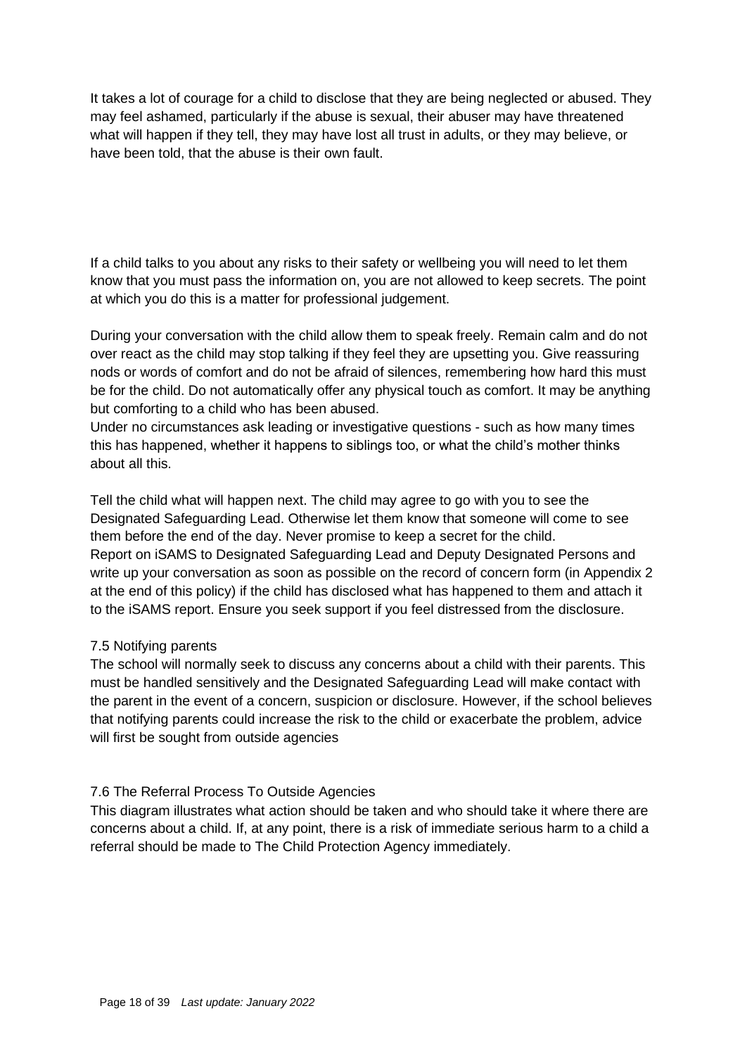It takes a lot of courage for a child to disclose that they are being neglected or abused. They may feel ashamed, particularly if the abuse is sexual, their abuser may have threatened what will happen if they tell, they may have lost all trust in adults, or they may believe, or have been told, that the abuse is their own fault.

If a child talks to you about any risks to their safety or wellbeing you will need to let them know that you must pass the information on, you are not allowed to keep secrets. The point at which you do this is a matter for professional judgement.

During your conversation with the child allow them to speak freely. Remain calm and do not over react as the child may stop talking if they feel they are upsetting you. Give reassuring nods or words of comfort and do not be afraid of silences, remembering how hard this must be for the child. Do not automatically offer any physical touch as comfort. It may be anything but comforting to a child who has been abused.

Under no circumstances ask leading or investigative questions - such as how many times this has happened, whether it happens to siblings too, or what the child's mother thinks about all this.

Tell the child what will happen next. The child may agree to go with you to see the Designated Safeguarding Lead. Otherwise let them know that someone will come to see them before the end of the day. Never promise to keep a secret for the child. Report on iSAMS to Designated Safeguarding Lead and Deputy Designated Persons and write up your conversation as soon as possible on the record of concern form (in Appendix 2 at the end of this policy) if the child has disclosed what has happened to them and attach it to the iSAMS report. Ensure you seek support if you feel distressed from the disclosure.

#### 7.5 Notifying parents

The school will normally seek to discuss any concerns about a child with their parents. This must be handled sensitively and the Designated Safeguarding Lead will make contact with the parent in the event of a concern, suspicion or disclosure. However, if the school believes that notifying parents could increase the risk to the child or exacerbate the problem, advice will first be sought from outside agencies

#### 7.6 The Referral Process To Outside Agencies

This diagram illustrates what action should be taken and who should take it where there are concerns about a child. If, at any point, there is a risk of immediate serious harm to a child a referral should be made to The Child Protection Agency immediately.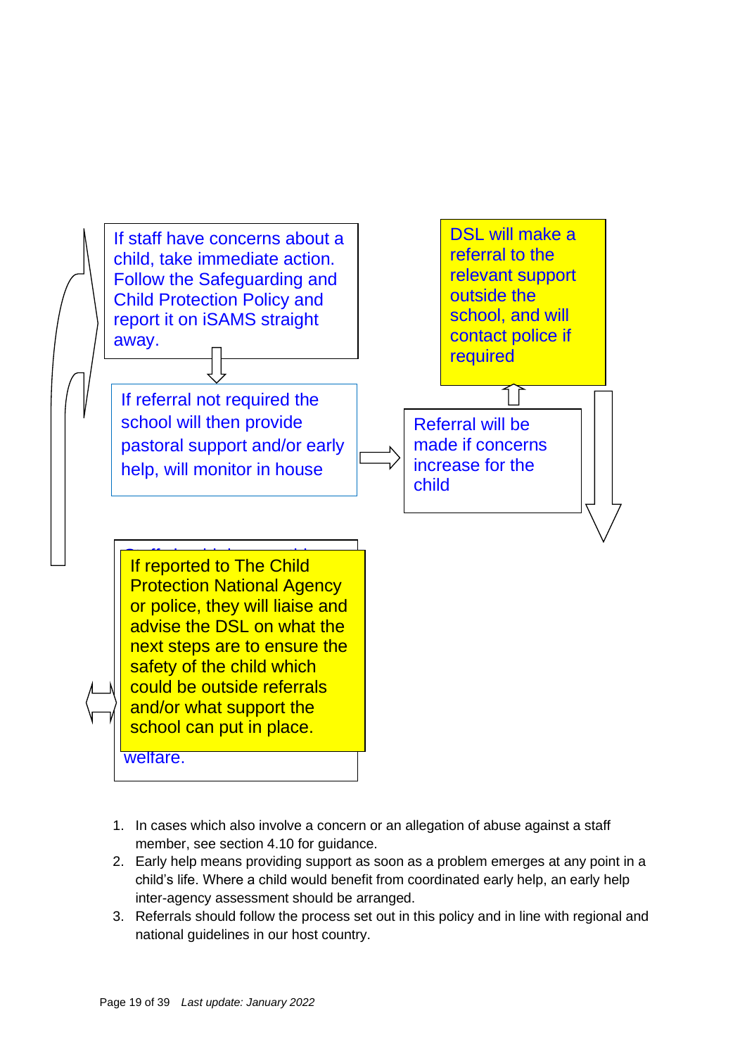

- 1. In cases which also involve a concern or an allegation of abuse against a staff member, see section 4.10 for guidance.
- 2. Early help means providing support as soon as a problem emerges at any point in a child's life. Where a child would benefit from coordinated early help, an early help inter-agency assessment should be arranged.
- 3. Referrals should follow the process set out in this policy and in line with regional and national guidelines in our host country.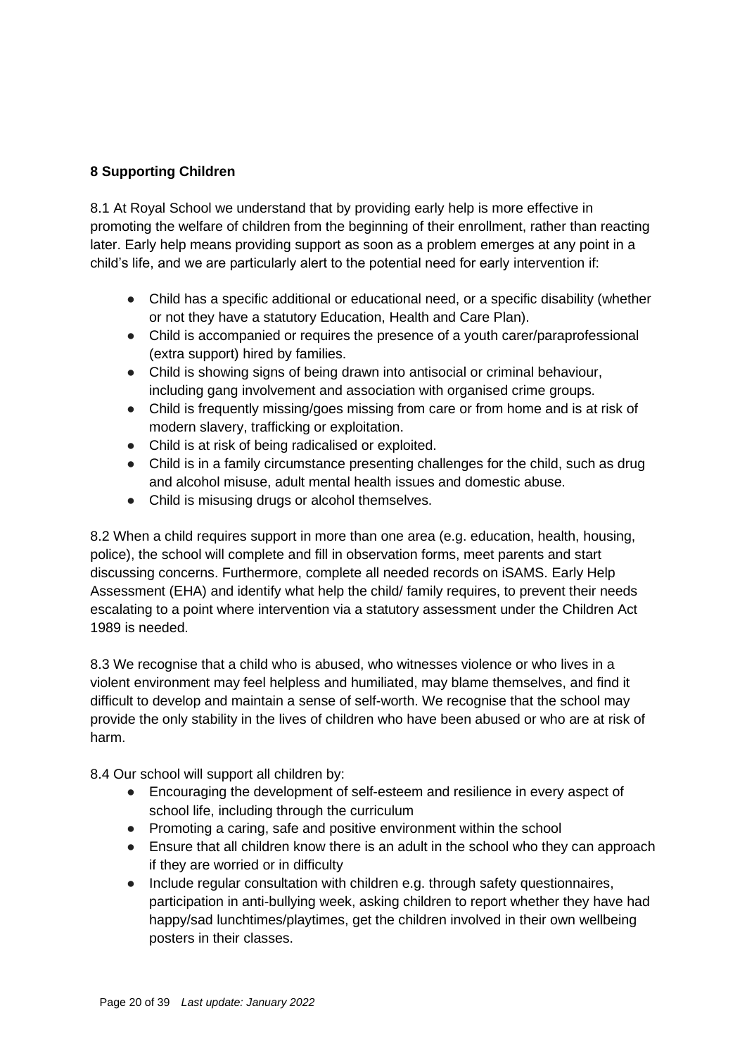### **8 Supporting Children**

8.1 At Royal School we understand that by providing early help is more effective in promoting the welfare of children from the beginning of their enrollment, rather than reacting later. Early help means providing support as soon as a problem emerges at any point in a child's life, and we are particularly alert to the potential need for early intervention if:

- Child has a specific additional or educational need, or a specific disability (whether or not they have a statutory Education, Health and Care Plan).
- Child is accompanied or requires the presence of a youth carer/paraprofessional (extra support) hired by families.
- Child is showing signs of being drawn into antisocial or criminal behaviour, including gang involvement and association with organised crime groups.
- Child is frequently missing/goes missing from care or from home and is at risk of modern slavery, trafficking or exploitation.
- Child is at risk of being radicalised or exploited.
- Child is in a family circumstance presenting challenges for the child, such as drug and alcohol misuse, adult mental health issues and domestic abuse.
- Child is misusing drugs or alcohol themselves.

8.2 When a child requires support in more than one area (e.g. education, health, housing, police), the school will complete and fill in observation forms, meet parents and start discussing concerns. Furthermore, complete all needed records on iSAMS. Early Help Assessment (EHA) and identify what help the child/ family requires, to prevent their needs escalating to a point where intervention via a statutory assessment under the Children Act 1989 is needed.

8.3 We recognise that a child who is abused, who witnesses violence or who lives in a violent environment may feel helpless and humiliated, may blame themselves, and find it difficult to develop and maintain a sense of self-worth. We recognise that the school may provide the only stability in the lives of children who have been abused or who are at risk of harm.

8.4 Our school will support all children by:

- Encouraging the development of self-esteem and resilience in every aspect of school life, including through the curriculum
- Promoting a caring, safe and positive environment within the school
- Ensure that all children know there is an adult in the school who they can approach if they are worried or in difficulty
- Include regular consultation with children e.g. through safety questionnaires, participation in anti-bullying week, asking children to report whether they have had happy/sad lunchtimes/playtimes, get the children involved in their own wellbeing posters in their classes.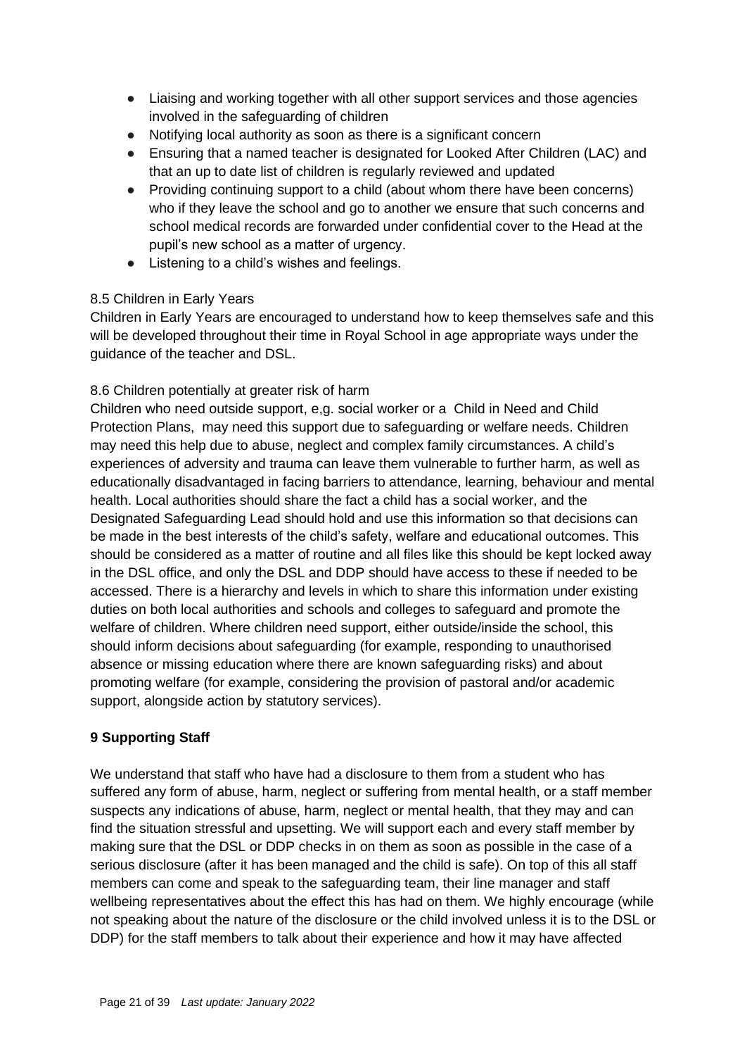- Liaising and working together with all other support services and those agencies involved in the safeguarding of children
- Notifying local authority as soon as there is a significant concern
- Ensuring that a named teacher is designated for Looked After Children (LAC) and that an up to date list of children is regularly reviewed and updated
- Providing continuing support to a child (about whom there have been concerns) who if they leave the school and go to another we ensure that such concerns and school medical records are forwarded under confidential cover to the Head at the pupil's new school as a matter of urgency.
- Listening to a child's wishes and feelings.

### 8.5 Children in Early Years

Children in Early Years are encouraged to understand how to keep themselves safe and this will be developed throughout their time in Royal School in age appropriate ways under the guidance of the teacher and DSL.

### 8.6 Children potentially at greater risk of harm

Children who need outside support, e,g. social worker or a Child in Need and Child Protection Plans, may need this support due to safeguarding or welfare needs. Children may need this help due to abuse, neglect and complex family circumstances. A child's experiences of adversity and trauma can leave them vulnerable to further harm, as well as educationally disadvantaged in facing barriers to attendance, learning, behaviour and mental health. Local authorities should share the fact a child has a social worker, and the Designated Safeguarding Lead should hold and use this information so that decisions can be made in the best interests of the child's safety, welfare and educational outcomes. This should be considered as a matter of routine and all files like this should be kept locked away in the DSL office, and only the DSL and DDP should have access to these if needed to be accessed. There is a hierarchy and levels in which to share this information under existing duties on both local authorities and schools and colleges to safeguard and promote the welfare of children. Where children need support, either outside/inside the school, this should inform decisions about safeguarding (for example, responding to unauthorised absence or missing education where there are known safeguarding risks) and about promoting welfare (for example, considering the provision of pastoral and/or academic support, alongside action by statutory services).

### **9 Supporting Staff**

We understand that staff who have had a disclosure to them from a student who has suffered any form of abuse, harm, neglect or suffering from mental health, or a staff member suspects any indications of abuse, harm, neglect or mental health, that they may and can find the situation stressful and upsetting. We will support each and every staff member by making sure that the DSL or DDP checks in on them as soon as possible in the case of a serious disclosure (after it has been managed and the child is safe). On top of this all staff members can come and speak to the safeguarding team, their line manager and staff wellbeing representatives about the effect this has had on them. We highly encourage (while not speaking about the nature of the disclosure or the child involved unless it is to the DSL or DDP) for the staff members to talk about their experience and how it may have affected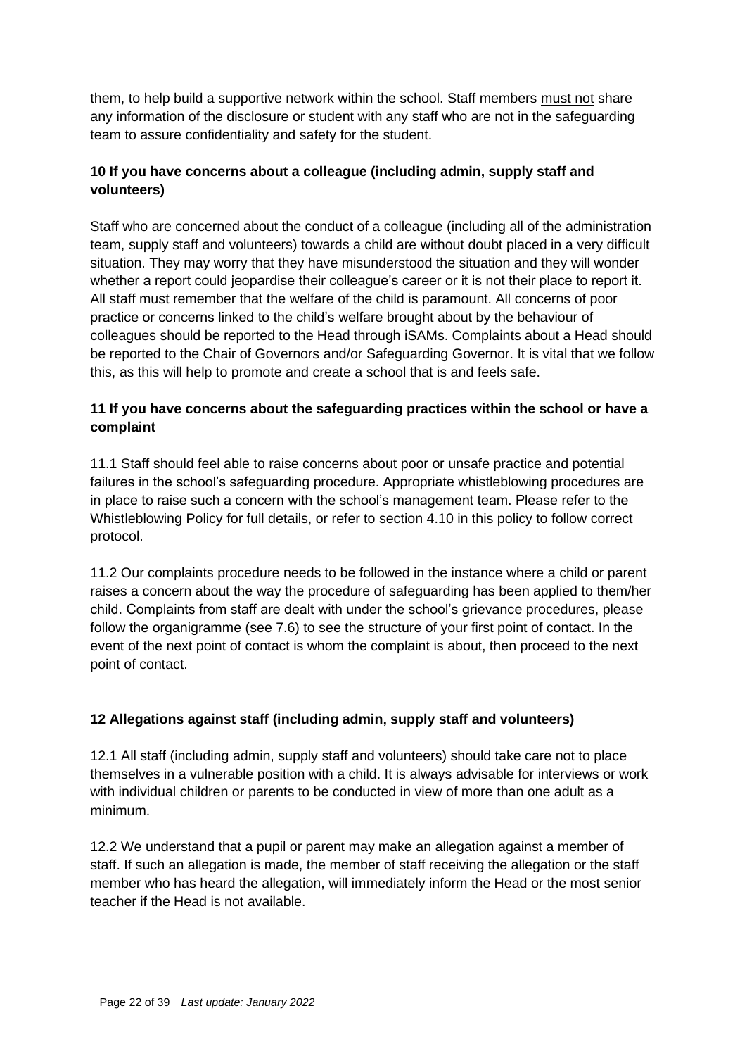them, to help build a supportive network within the school. Staff members must not share any information of the disclosure or student with any staff who are not in the safeguarding team to assure confidentiality and safety for the student.

## **10 If you have concerns about a colleague (including admin, supply staff and volunteers)**

Staff who are concerned about the conduct of a colleague (including all of the administration team, supply staff and volunteers) towards a child are without doubt placed in a very difficult situation. They may worry that they have misunderstood the situation and they will wonder whether a report could jeopardise their colleague's career or it is not their place to report it. All staff must remember that the welfare of the child is paramount. All concerns of poor practice or concerns linked to the child's welfare brought about by the behaviour of colleagues should be reported to the Head through iSAMs. Complaints about a Head should be reported to the Chair of Governors and/or Safeguarding Governor. It is vital that we follow this, as this will help to promote and create a school that is and feels safe.

### **11 If you have concerns about the safeguarding practices within the school or have a complaint**

11.1 Staff should feel able to raise concerns about poor or unsafe practice and potential failures in the school's safeguarding procedure. Appropriate whistleblowing procedures are in place to raise such a concern with the school's management team. Please refer to the Whistleblowing Policy for full details, or refer to section 4.10 in this policy to follow correct protocol.

11.2 Our complaints procedure needs to be followed in the instance where a child or parent raises a concern about the way the procedure of safeguarding has been applied to them/her child. Complaints from staff are dealt with under the school's grievance procedures, please follow the organigramme (see 7.6) to see the structure of your first point of contact. In the event of the next point of contact is whom the complaint is about, then proceed to the next point of contact.

### **12 Allegations against staff (including admin, supply staff and volunteers)**

12.1 All staff (including admin, supply staff and volunteers) should take care not to place themselves in a vulnerable position with a child. It is always advisable for interviews or work with individual children or parents to be conducted in view of more than one adult as a minimum.

12.2 We understand that a pupil or parent may make an allegation against a member of staff. If such an allegation is made, the member of staff receiving the allegation or the staff member who has heard the allegation, will immediately inform the Head or the most senior teacher if the Head is not available.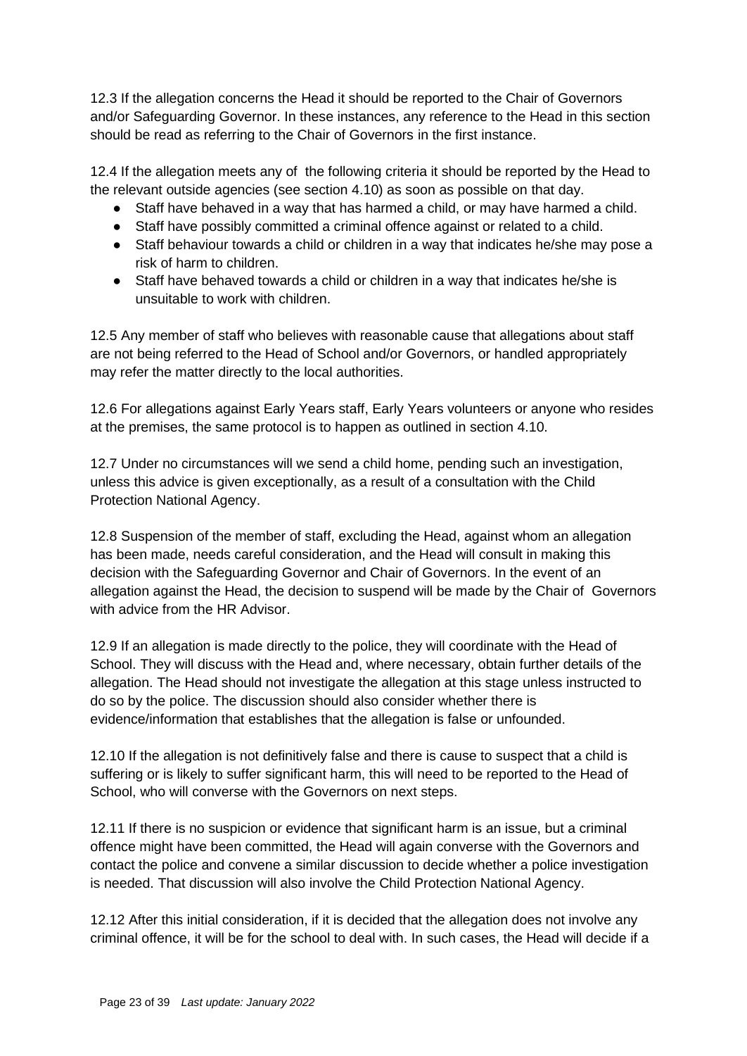12.3 If the allegation concerns the Head it should be reported to the Chair of Governors and/or Safeguarding Governor. In these instances, any reference to the Head in this section should be read as referring to the Chair of Governors in the first instance.

12.4 If the allegation meets any of the following criteria it should be reported by the Head to the relevant outside agencies (see section 4.10) as soon as possible on that day.

- Staff have behaved in a way that has harmed a child, or may have harmed a child.
- Staff have possibly committed a criminal offence against or related to a child.
- Staff behaviour towards a child or children in a way that indicates he/she may pose a risk of harm to children.
- Staff have behaved towards a child or children in a way that indicates he/she is unsuitable to work with children.

12.5 Any member of staff who believes with reasonable cause that allegations about staff are not being referred to the Head of School and/or Governors, or handled appropriately may refer the matter directly to the local authorities.

12.6 For allegations against Early Years staff, Early Years volunteers or anyone who resides at the premises, the same protocol is to happen as outlined in section 4.10.

12.7 Under no circumstances will we send a child home, pending such an investigation, unless this advice is given exceptionally, as a result of a consultation with the Child Protection National Agency.

12.8 Suspension of the member of staff, excluding the Head, against whom an allegation has been made, needs careful consideration, and the Head will consult in making this decision with the Safeguarding Governor and Chair of Governors. In the event of an allegation against the Head, the decision to suspend will be made by the Chair of Governors with advice from the HR Advisor.

12.9 If an allegation is made directly to the police, they will coordinate with the Head of School. They will discuss with the Head and, where necessary, obtain further details of the allegation. The Head should not investigate the allegation at this stage unless instructed to do so by the police. The discussion should also consider whether there is evidence/information that establishes that the allegation is false or unfounded.

12.10 If the allegation is not definitively false and there is cause to suspect that a child is suffering or is likely to suffer significant harm, this will need to be reported to the Head of School, who will converse with the Governors on next steps.

12.11 If there is no suspicion or evidence that significant harm is an issue, but a criminal offence might have been committed, the Head will again converse with the Governors and contact the police and convene a similar discussion to decide whether a police investigation is needed. That discussion will also involve the Child Protection National Agency.

12.12 After this initial consideration, if it is decided that the allegation does not involve any criminal offence, it will be for the school to deal with. In such cases, the Head will decide if a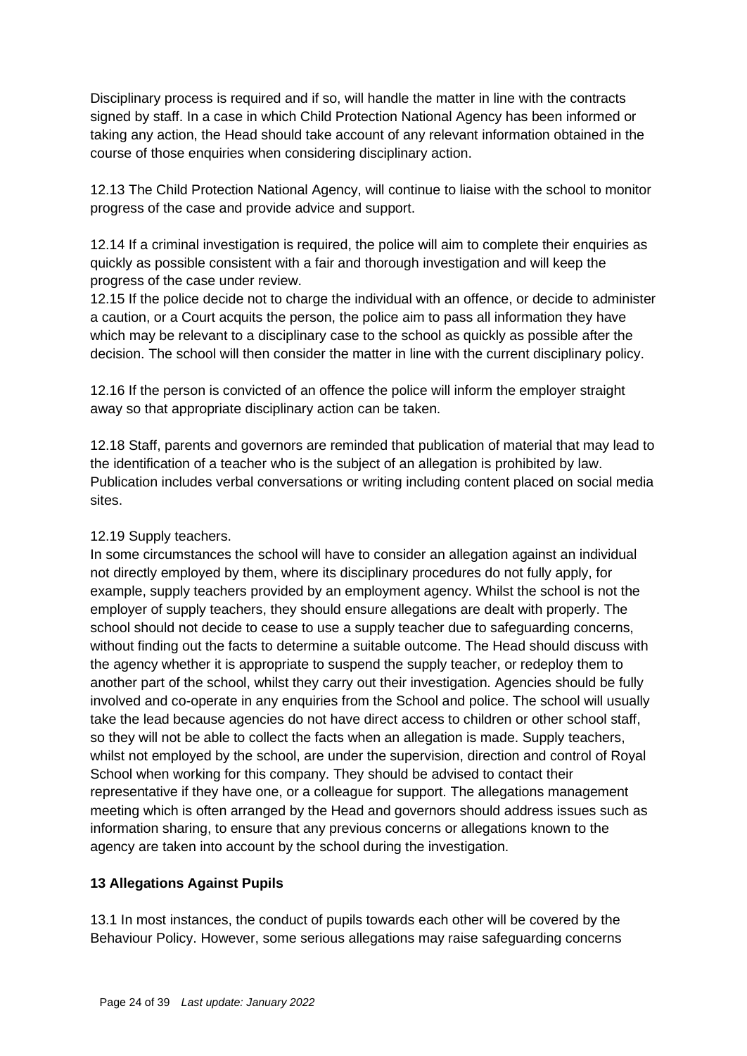Disciplinary process is required and if so, will handle the matter in line with the contracts signed by staff. In a case in which Child Protection National Agency has been informed or taking any action, the Head should take account of any relevant information obtained in the course of those enquiries when considering disciplinary action.

12.13 The Child Protection National Agency, will continue to liaise with the school to monitor progress of the case and provide advice and support.

12.14 If a criminal investigation is required, the police will aim to complete their enquiries as quickly as possible consistent with a fair and thorough investigation and will keep the progress of the case under review.

12.15 If the police decide not to charge the individual with an offence, or decide to administer a caution, or a Court acquits the person, the police aim to pass all information they have which may be relevant to a disciplinary case to the school as quickly as possible after the decision. The school will then consider the matter in line with the current disciplinary policy.

12.16 If the person is convicted of an offence the police will inform the employer straight away so that appropriate disciplinary action can be taken.

12.18 Staff, parents and governors are reminded that publication of material that may lead to the identification of a teacher who is the subject of an allegation is prohibited by law. Publication includes verbal conversations or writing including content placed on social media sites.

### 12.19 Supply teachers.

In some circumstances the school will have to consider an allegation against an individual not directly employed by them, where its disciplinary procedures do not fully apply, for example, supply teachers provided by an employment agency. Whilst the school is not the employer of supply teachers, they should ensure allegations are dealt with properly. The school should not decide to cease to use a supply teacher due to safeguarding concerns, without finding out the facts to determine a suitable outcome. The Head should discuss with the agency whether it is appropriate to suspend the supply teacher, or redeploy them to another part of the school, whilst they carry out their investigation. Agencies should be fully involved and co-operate in any enquiries from the School and police. The school will usually take the lead because agencies do not have direct access to children or other school staff, so they will not be able to collect the facts when an allegation is made. Supply teachers, whilst not employed by the school, are under the supervision, direction and control of Royal School when working for this company. They should be advised to contact their representative if they have one, or a colleague for support. The allegations management meeting which is often arranged by the Head and governors should address issues such as information sharing, to ensure that any previous concerns or allegations known to the agency are taken into account by the school during the investigation.

### **13 Allegations Against Pupils**

13.1 In most instances, the conduct of pupils towards each other will be covered by the Behaviour Policy. However, some serious allegations may raise safeguarding concerns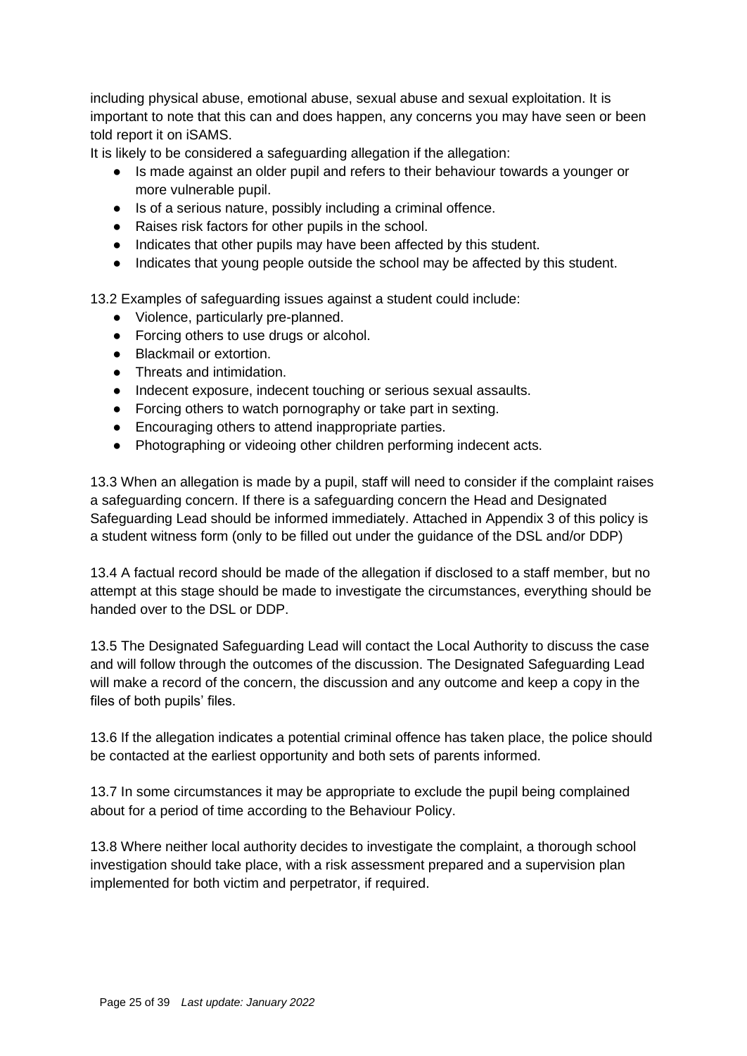including physical abuse, emotional abuse, sexual abuse and sexual exploitation. It is important to note that this can and does happen, any concerns you may have seen or been told report it on iSAMS.

It is likely to be considered a safeguarding allegation if the allegation:

- Is made against an older pupil and refers to their behaviour towards a younger or more vulnerable pupil.
- Is of a serious nature, possibly including a criminal offence.
- Raises risk factors for other pupils in the school.
- Indicates that other pupils may have been affected by this student.
- Indicates that young people outside the school may be affected by this student.

13.2 Examples of safeguarding issues against a student could include:

- Violence, particularly pre-planned.
- Forcing others to use drugs or alcohol.
- Blackmail or extortion.
- Threats and intimidation.
- Indecent exposure, indecent touching or serious sexual assaults.
- Forcing others to watch pornography or take part in sexting.
- Encouraging others to attend inappropriate parties.
- Photographing or videoing other children performing indecent acts.

13.3 When an allegation is made by a pupil, staff will need to consider if the complaint raises a safeguarding concern. If there is a safeguarding concern the Head and Designated Safeguarding Lead should be informed immediately. Attached in Appendix 3 of this policy is a student witness form (only to be filled out under the guidance of the DSL and/or DDP)

13.4 A factual record should be made of the allegation if disclosed to a staff member, but no attempt at this stage should be made to investigate the circumstances, everything should be handed over to the DSL or DDP.

13.5 The Designated Safeguarding Lead will contact the Local Authority to discuss the case and will follow through the outcomes of the discussion. The Designated Safeguarding Lead will make a record of the concern, the discussion and any outcome and keep a copy in the files of both pupils' files.

13.6 If the allegation indicates a potential criminal offence has taken place, the police should be contacted at the earliest opportunity and both sets of parents informed.

13.7 In some circumstances it may be appropriate to exclude the pupil being complained about for a period of time according to the Behaviour Policy.

13.8 Where neither local authority decides to investigate the complaint, a thorough school investigation should take place, with a risk assessment prepared and a supervision plan implemented for both victim and perpetrator, if required.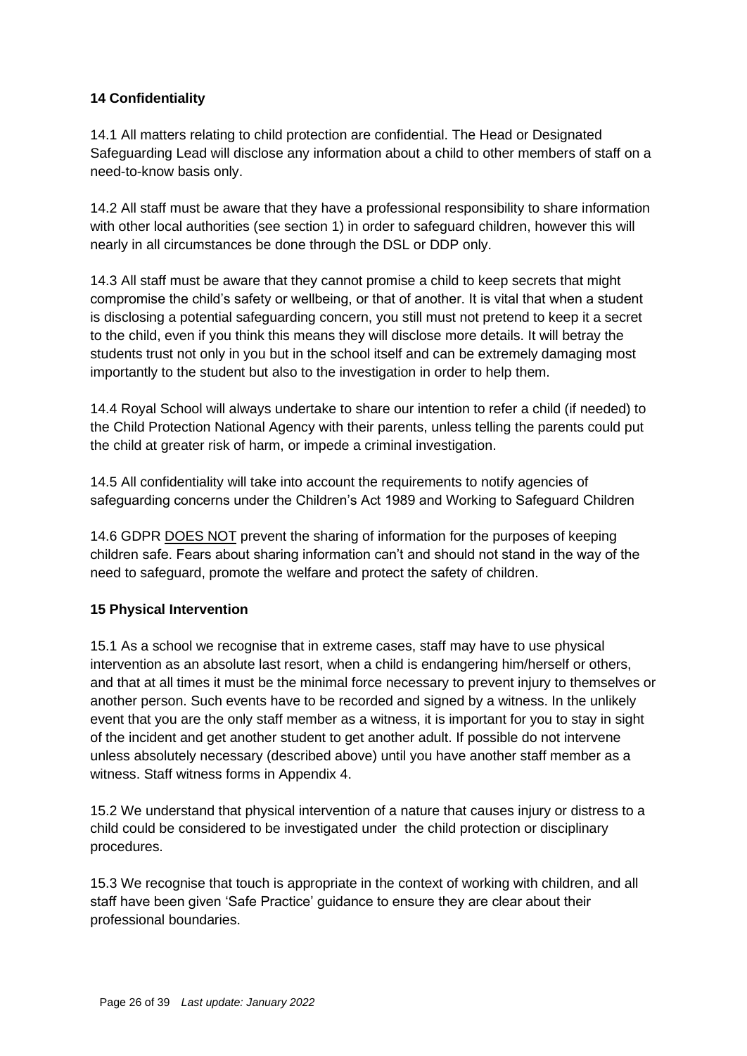### **14 Confidentiality**

14.1 All matters relating to child protection are confidential. The Head or Designated Safeguarding Lead will disclose any information about a child to other members of staff on a need-to-know basis only.

14.2 All staff must be aware that they have a professional responsibility to share information with other local authorities (see section 1) in order to safeguard children, however this will nearly in all circumstances be done through the DSL or DDP only.

14.3 All staff must be aware that they cannot promise a child to keep secrets that might compromise the child's safety or wellbeing, or that of another. It is vital that when a student is disclosing a potential safeguarding concern, you still must not pretend to keep it a secret to the child, even if you think this means they will disclose more details. It will betray the students trust not only in you but in the school itself and can be extremely damaging most importantly to the student but also to the investigation in order to help them.

14.4 Royal School will always undertake to share our intention to refer a child (if needed) to the Child Protection National Agency with their parents, unless telling the parents could put the child at greater risk of harm, or impede a criminal investigation.

14.5 All confidentiality will take into account the requirements to notify agencies of safeguarding concerns under the Children's Act 1989 and Working to Safeguard Children

14.6 GDPR DOES NOT prevent the sharing of information for the purposes of keeping children safe. Fears about sharing information can't and should not stand in the way of the need to safeguard, promote the welfare and protect the safety of children.

### **15 Physical Intervention**

15.1 As a school we recognise that in extreme cases, staff may have to use physical intervention as an absolute last resort, when a child is endangering him/herself or others, and that at all times it must be the minimal force necessary to prevent injury to themselves or another person. Such events have to be recorded and signed by a witness. In the unlikely event that you are the only staff member as a witness, it is important for you to stay in sight of the incident and get another student to get another adult. If possible do not intervene unless absolutely necessary (described above) until you have another staff member as a witness. Staff witness forms in Appendix 4.

15.2 We understand that physical intervention of a nature that causes injury or distress to a child could be considered to be investigated under the child protection or disciplinary procedures.

15.3 We recognise that touch is appropriate in the context of working with children, and all staff have been given 'Safe Practice' guidance to ensure they are clear about their professional boundaries.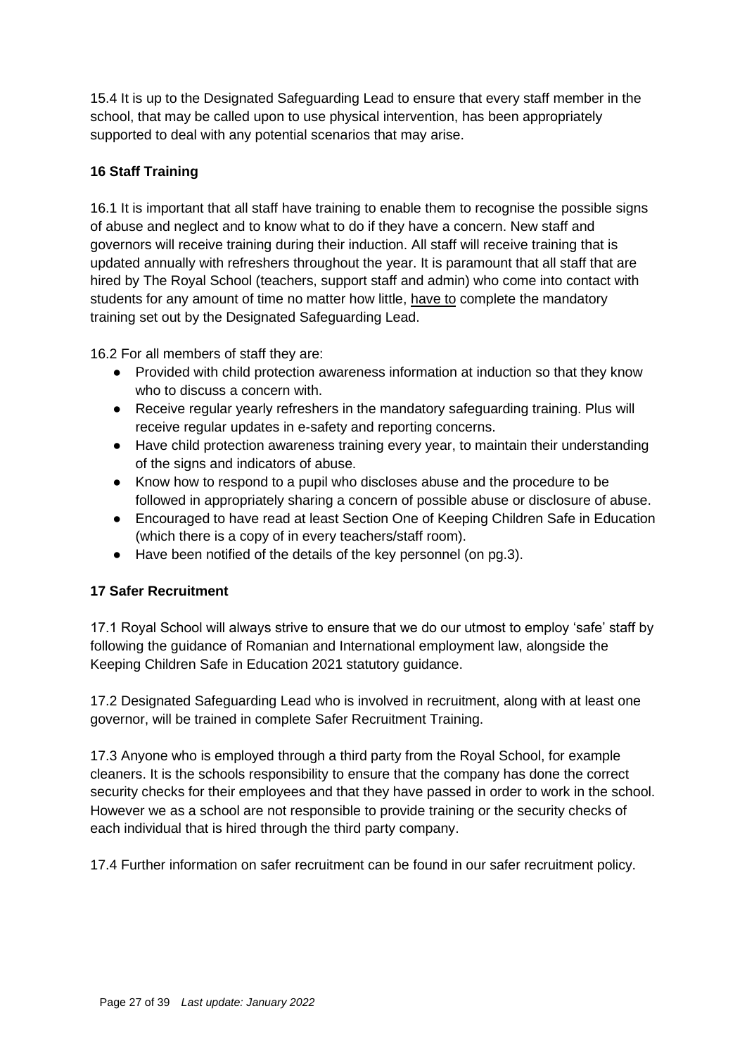15.4 It is up to the Designated Safeguarding Lead to ensure that every staff member in the school, that may be called upon to use physical intervention, has been appropriately supported to deal with any potential scenarios that may arise.

## **16 Staff Training**

16.1 It is important that all staff have training to enable them to recognise the possible signs of abuse and neglect and to know what to do if they have a concern. New staff and governors will receive training during their induction. All staff will receive training that is updated annually with refreshers throughout the year. It is paramount that all staff that are hired by The Royal School (teachers, support staff and admin) who come into contact with students for any amount of time no matter how little, have to complete the mandatory training set out by the Designated Safeguarding Lead.

16.2 For all members of staff they are:

- Provided with child protection awareness information at induction so that they know who to discuss a concern with.
- Receive regular yearly refreshers in the mandatory safeguarding training. Plus will receive regular updates in e-safety and reporting concerns.
- Have child protection awareness training every year, to maintain their understanding of the signs and indicators of abuse.
- Know how to respond to a pupil who discloses abuse and the procedure to be followed in appropriately sharing a concern of possible abuse or disclosure of abuse.
- Encouraged to have read at least Section One of Keeping Children Safe in Education (which there is a copy of in every teachers/staff room).
- Have been notified of the details of the key personnel (on pg.3).

### **17 Safer Recruitment**

17.1 Royal School will always strive to ensure that we do our utmost to employ 'safe' staff by following the guidance of Romanian and International employment law, alongside the Keeping Children Safe in Education 2021 statutory guidance.

17.2 Designated Safeguarding Lead who is involved in recruitment, along with at least one governor, will be trained in complete Safer Recruitment Training.

17.3 Anyone who is employed through a third party from the Royal School, for example cleaners. It is the schools responsibility to ensure that the company has done the correct security checks for their employees and that they have passed in order to work in the school. However we as a school are not responsible to provide training or the security checks of each individual that is hired through the third party company.

17.4 Further information on safer recruitment can be found in our safer recruitment policy.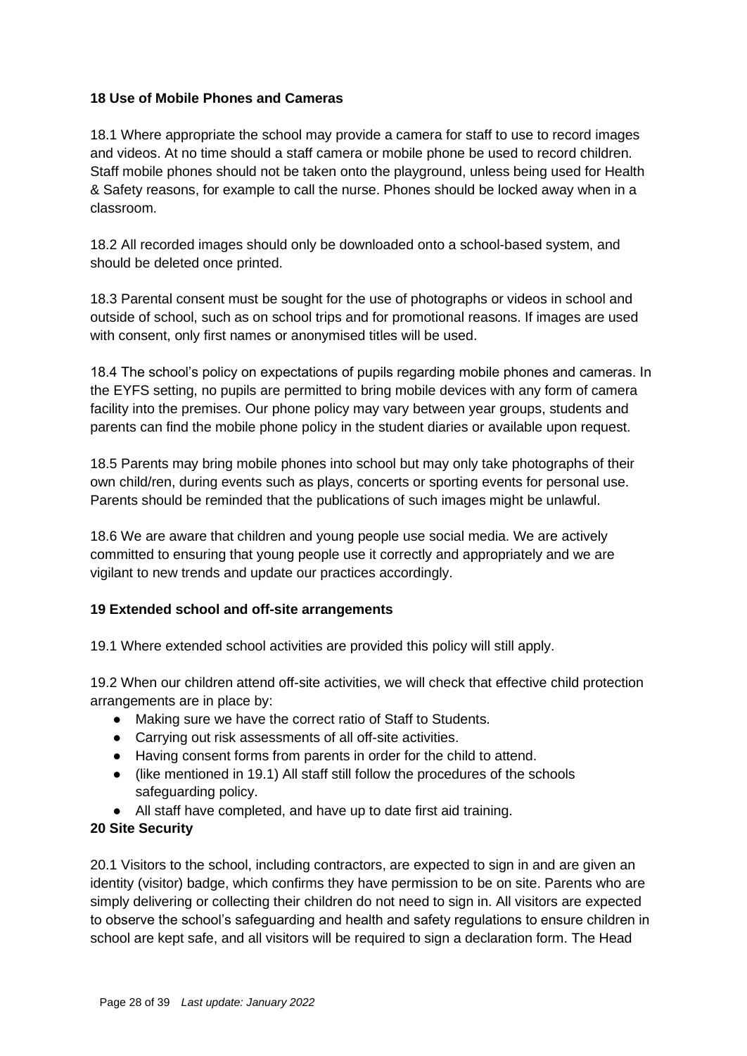#### **18 Use of Mobile Phones and Cameras**

18.1 Where appropriate the school may provide a camera for staff to use to record images and videos. At no time should a staff camera or mobile phone be used to record children. Staff mobile phones should not be taken onto the playground, unless being used for Health & Safety reasons, for example to call the nurse. Phones should be locked away when in a classroom.

18.2 All recorded images should only be downloaded onto a school-based system, and should be deleted once printed.

18.3 Parental consent must be sought for the use of photographs or videos in school and outside of school, such as on school trips and for promotional reasons. If images are used with consent, only first names or anonymised titles will be used.

18.4 The school's policy on expectations of pupils regarding mobile phones and cameras. In the EYFS setting, no pupils are permitted to bring mobile devices with any form of camera facility into the premises. Our phone policy may vary between year groups, students and parents can find the mobile phone policy in the student diaries or available upon request.

18.5 Parents may bring mobile phones into school but may only take photographs of their own child/ren, during events such as plays, concerts or sporting events for personal use. Parents should be reminded that the publications of such images might be unlawful.

18.6 We are aware that children and young people use social media. We are actively committed to ensuring that young people use it correctly and appropriately and we are vigilant to new trends and update our practices accordingly.

### **19 Extended school and off-site arrangements**

19.1 Where extended school activities are provided this policy will still apply.

19.2 When our children attend off-site activities, we will check that effective child protection arrangements are in place by:

- Making sure we have the correct ratio of Staff to Students.
- Carrying out risk assessments of all off-site activities.
- Having consent forms from parents in order for the child to attend.
- (like mentioned in 19.1) All staff still follow the procedures of the schools safeguarding policy.
- All staff have completed, and have up to date first aid training.

#### **20 Site Security**

20.1 Visitors to the school, including contractors, are expected to sign in and are given an identity (visitor) badge, which confirms they have permission to be on site. Parents who are simply delivering or collecting their children do not need to sign in. All visitors are expected to observe the school's safeguarding and health and safety regulations to ensure children in school are kept safe, and all visitors will be required to sign a declaration form. The Head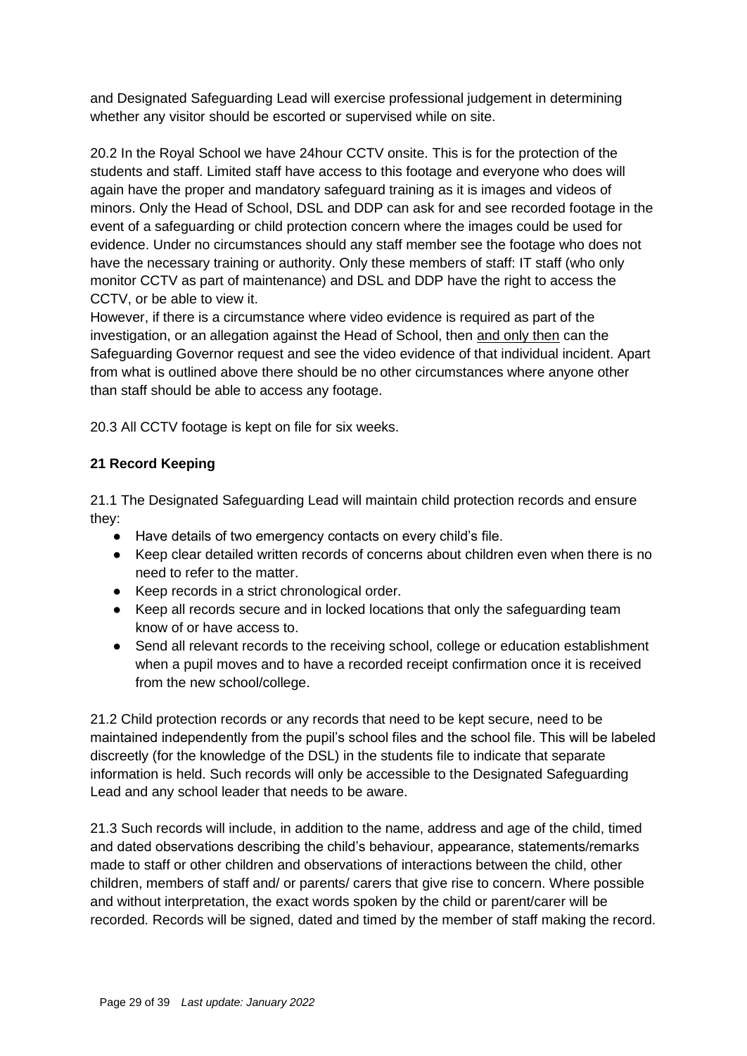and Designated Safeguarding Lead will exercise professional judgement in determining whether any visitor should be escorted or supervised while on site.

20.2 In the Royal School we have 24hour CCTV onsite. This is for the protection of the students and staff. Limited staff have access to this footage and everyone who does will again have the proper and mandatory safeguard training as it is images and videos of minors. Only the Head of School, DSL and DDP can ask for and see recorded footage in the event of a safeguarding or child protection concern where the images could be used for evidence. Under no circumstances should any staff member see the footage who does not have the necessary training or authority. Only these members of staff: IT staff (who only monitor CCTV as part of maintenance) and DSL and DDP have the right to access the CCTV, or be able to view it.

However, if there is a circumstance where video evidence is required as part of the investigation, or an allegation against the Head of School, then and only then can the Safeguarding Governor request and see the video evidence of that individual incident. Apart from what is outlined above there should be no other circumstances where anyone other than staff should be able to access any footage.

20.3 All CCTV footage is kept on file for six weeks.

### **21 Record Keeping**

21.1 The Designated Safeguarding Lead will maintain child protection records and ensure they:

- Have details of two emergency contacts on every child's file.
- Keep clear detailed written records of concerns about children even when there is no need to refer to the matter.
- Keep records in a strict chronological order.
- Keep all records secure and in locked locations that only the safeguarding team know of or have access to.
- Send all relevant records to the receiving school, college or education establishment when a pupil moves and to have a recorded receipt confirmation once it is received from the new school/college.

21.2 Child protection records or any records that need to be kept secure, need to be maintained independently from the pupil's school files and the school file. This will be labeled discreetly (for the knowledge of the DSL) in the students file to indicate that separate information is held. Such records will only be accessible to the Designated Safeguarding Lead and any school leader that needs to be aware.

21.3 Such records will include, in addition to the name, address and age of the child, timed and dated observations describing the child's behaviour, appearance, statements/remarks made to staff or other children and observations of interactions between the child, other children, members of staff and/ or parents/ carers that give rise to concern. Where possible and without interpretation, the exact words spoken by the child or parent/carer will be recorded. Records will be signed, dated and timed by the member of staff making the record.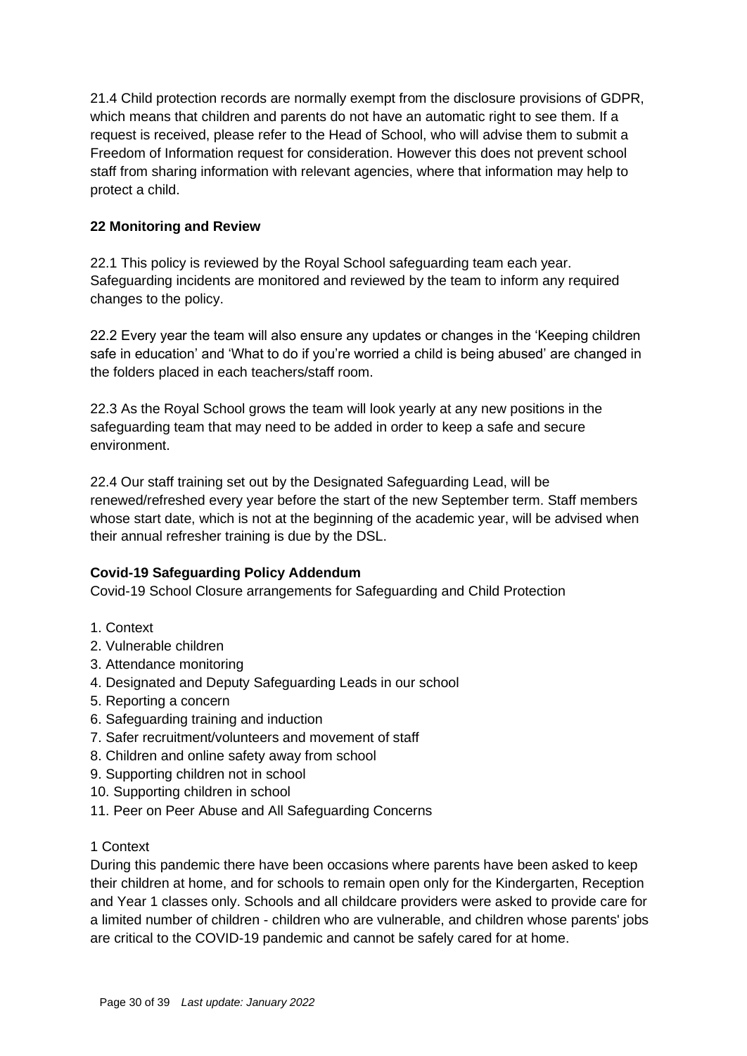21.4 Child protection records are normally exempt from the disclosure provisions of GDPR, which means that children and parents do not have an automatic right to see them. If a request is received, please refer to the Head of School, who will advise them to submit a Freedom of Information request for consideration. However this does not prevent school staff from sharing information with relevant agencies, where that information may help to protect a child.

### **22 Monitoring and Review**

22.1 This policy is reviewed by the Royal School safeguarding team each year. Safeguarding incidents are monitored and reviewed by the team to inform any required changes to the policy.

22.2 Every year the team will also ensure any updates or changes in the 'Keeping children safe in education' and 'What to do if you're worried a child is being abused' are changed in the folders placed in each teachers/staff room.

22.3 As the Royal School grows the team will look yearly at any new positions in the safeguarding team that may need to be added in order to keep a safe and secure environment.

22.4 Our staff training set out by the Designated Safeguarding Lead, will be renewed/refreshed every year before the start of the new September term. Staff members whose start date, which is not at the beginning of the academic year, will be advised when their annual refresher training is due by the DSL.

#### **Covid-19 Safeguarding Policy Addendum**

Covid-19 School Closure arrangements for Safeguarding and Child Protection

- 1. Context
- 2. Vulnerable children
- 3. Attendance monitoring
- 4. Designated and Deputy Safeguarding Leads in our school
- 5. Reporting a concern
- 6. Safeguarding training and induction
- 7. Safer recruitment/volunteers and movement of staff
- 8. Children and online safety away from school
- 9. Supporting children not in school
- 10. Supporting children in school
- 11. Peer on Peer Abuse and All Safeguarding Concerns
- 1 Context

During this pandemic there have been occasions where parents have been asked to keep their children at home, and for schools to remain open only for the Kindergarten, Reception and Year 1 classes only. Schools and all childcare providers were asked to provide care for a limited number of children - children who are vulnerable, and children whose parents' jobs are critical to the COVID-19 pandemic and cannot be safely cared for at home.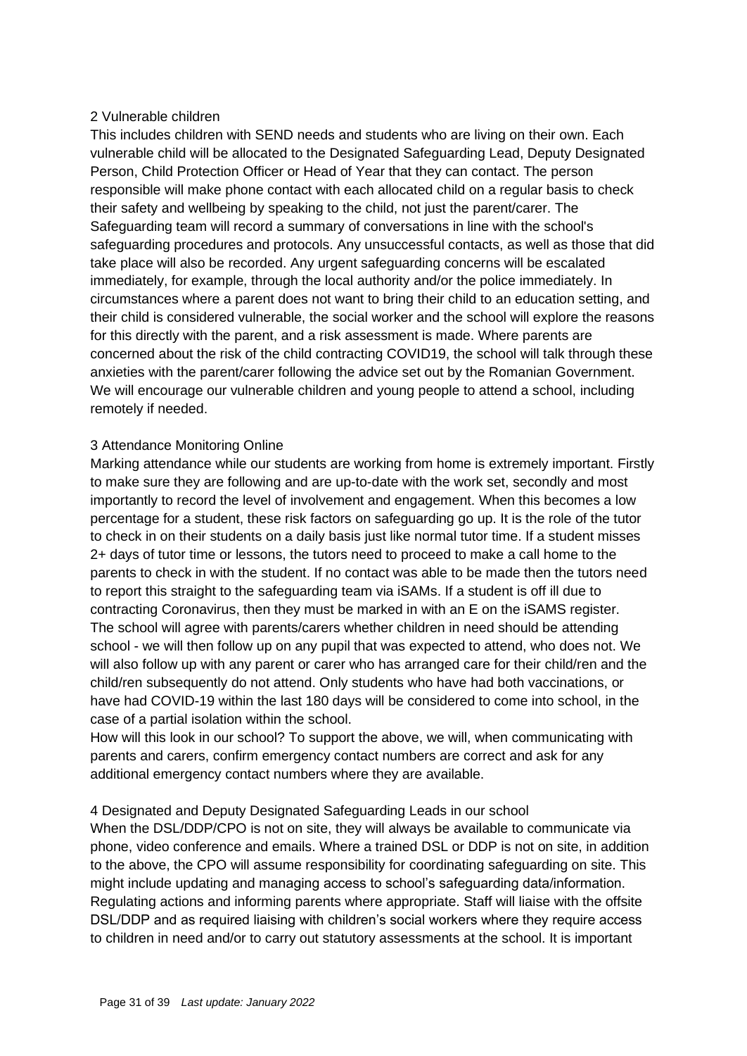#### 2 Vulnerable children

This includes children with SEND needs and students who are living on their own. Each vulnerable child will be allocated to the Designated Safeguarding Lead, Deputy Designated Person, Child Protection Officer or Head of Year that they can contact. The person responsible will make phone contact with each allocated child on a regular basis to check their safety and wellbeing by speaking to the child, not just the parent/carer. The Safeguarding team will record a summary of conversations in line with the school's safeguarding procedures and protocols. Any unsuccessful contacts, as well as those that did take place will also be recorded. Any urgent safeguarding concerns will be escalated immediately, for example, through the local authority and/or the police immediately. In circumstances where a parent does not want to bring their child to an education setting, and their child is considered vulnerable, the social worker and the school will explore the reasons for this directly with the parent, and a risk assessment is made. Where parents are concerned about the risk of the child contracting COVID19, the school will talk through these anxieties with the parent/carer following the advice set out by the Romanian Government. We will encourage our vulnerable children and young people to attend a school, including remotely if needed.

#### 3 Attendance Monitoring Online

Marking attendance while our students are working from home is extremely important. Firstly to make sure they are following and are up-to-date with the work set, secondly and most importantly to record the level of involvement and engagement. When this becomes a low percentage for a student, these risk factors on safeguarding go up. It is the role of the tutor to check in on their students on a daily basis just like normal tutor time. If a student misses 2+ days of tutor time or lessons, the tutors need to proceed to make a call home to the parents to check in with the student. If no contact was able to be made then the tutors need to report this straight to the safeguarding team via iSAMs. If a student is off ill due to contracting Coronavirus, then they must be marked in with an E on the iSAMS register. The school will agree with parents/carers whether children in need should be attending school - we will then follow up on any pupil that was expected to attend, who does not. We will also follow up with any parent or carer who has arranged care for their child/ren and the child/ren subsequently do not attend. Only students who have had both vaccinations, or have had COVID-19 within the last 180 days will be considered to come into school, in the case of a partial isolation within the school.

How will this look in our school? To support the above, we will, when communicating with parents and carers, confirm emergency contact numbers are correct and ask for any additional emergency contact numbers where they are available.

#### 4 Designated and Deputy Designated Safeguarding Leads in our school

When the DSL/DDP/CPO is not on site, they will always be available to communicate via phone, video conference and emails. Where a trained DSL or DDP is not on site, in addition to the above, the CPO will assume responsibility for coordinating safeguarding on site. This might include updating and managing access to school's safeguarding data/information. Regulating actions and informing parents where appropriate. Staff will liaise with the offsite DSL/DDP and as required liaising with children's social workers where they require access to children in need and/or to carry out statutory assessments at the school. It is important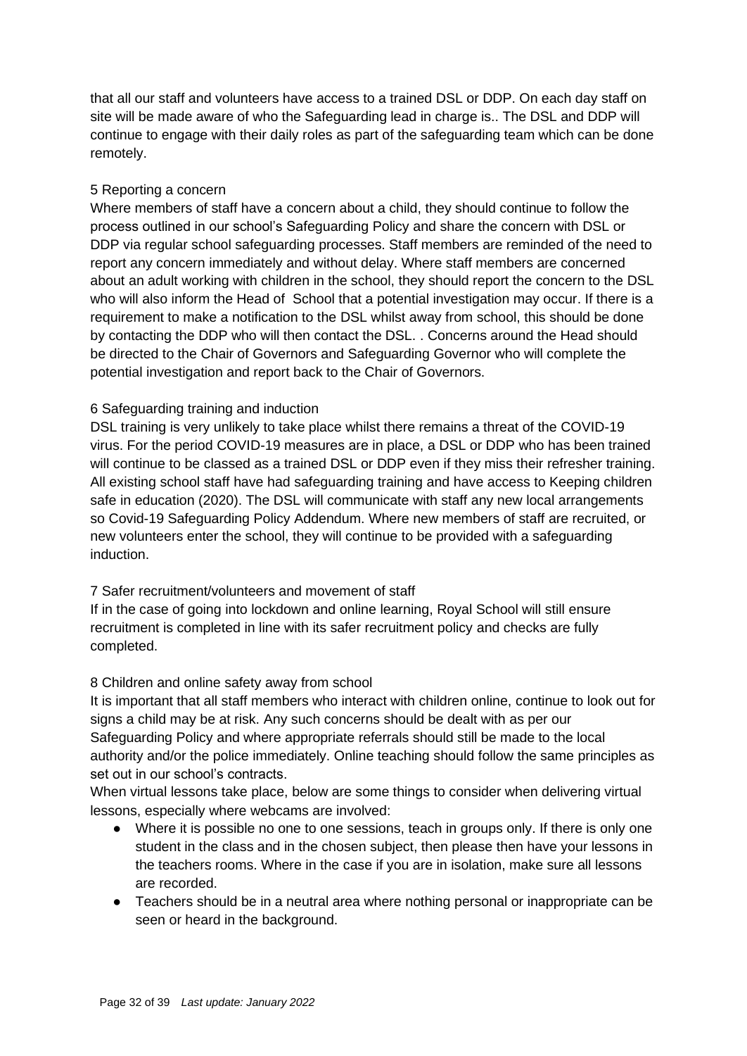that all our staff and volunteers have access to a trained DSL or DDP. On each day staff on site will be made aware of who the Safeguarding lead in charge is.. The DSL and DDP will continue to engage with their daily roles as part of the safeguarding team which can be done remotely.

#### 5 Reporting a concern

Where members of staff have a concern about a child, they should continue to follow the process outlined in our school's Safeguarding Policy and share the concern with DSL or DDP via regular school safeguarding processes. Staff members are reminded of the need to report any concern immediately and without delay. Where staff members are concerned about an adult working with children in the school, they should report the concern to the DSL who will also inform the Head of School that a potential investigation may occur. If there is a requirement to make a notification to the DSL whilst away from school, this should be done by contacting the DDP who will then contact the DSL. . Concerns around the Head should be directed to the Chair of Governors and Safeguarding Governor who will complete the potential investigation and report back to the Chair of Governors.

#### 6 Safeguarding training and induction

DSL training is very unlikely to take place whilst there remains a threat of the COVID-19 virus. For the period COVID-19 measures are in place, a DSL or DDP who has been trained will continue to be classed as a trained DSL or DDP even if they miss their refresher training. All existing school staff have had safeguarding training and have access to Keeping children safe in education (2020). The DSL will communicate with staff any new local arrangements so Covid-19 Safeguarding Policy Addendum. Where new members of staff are recruited, or new volunteers enter the school, they will continue to be provided with a safeguarding induction.

### 7 Safer recruitment/volunteers and movement of staff

If in the case of going into lockdown and online learning, Royal School will still ensure recruitment is completed in line with its safer recruitment policy and checks are fully completed.

#### 8 Children and online safety away from school

It is important that all staff members who interact with children online, continue to look out for signs a child may be at risk. Any such concerns should be dealt with as per our Safeguarding Policy and where appropriate referrals should still be made to the local authority and/or the police immediately. Online teaching should follow the same principles as set out in our school's contracts.

When virtual lessons take place, below are some things to consider when delivering virtual lessons, especially where webcams are involved:

- Where it is possible no one to one sessions, teach in groups only. If there is only one student in the class and in the chosen subject, then please then have your lessons in the teachers rooms. Where in the case if you are in isolation, make sure all lessons are recorded.
- Teachers should be in a neutral area where nothing personal or inappropriate can be seen or heard in the background.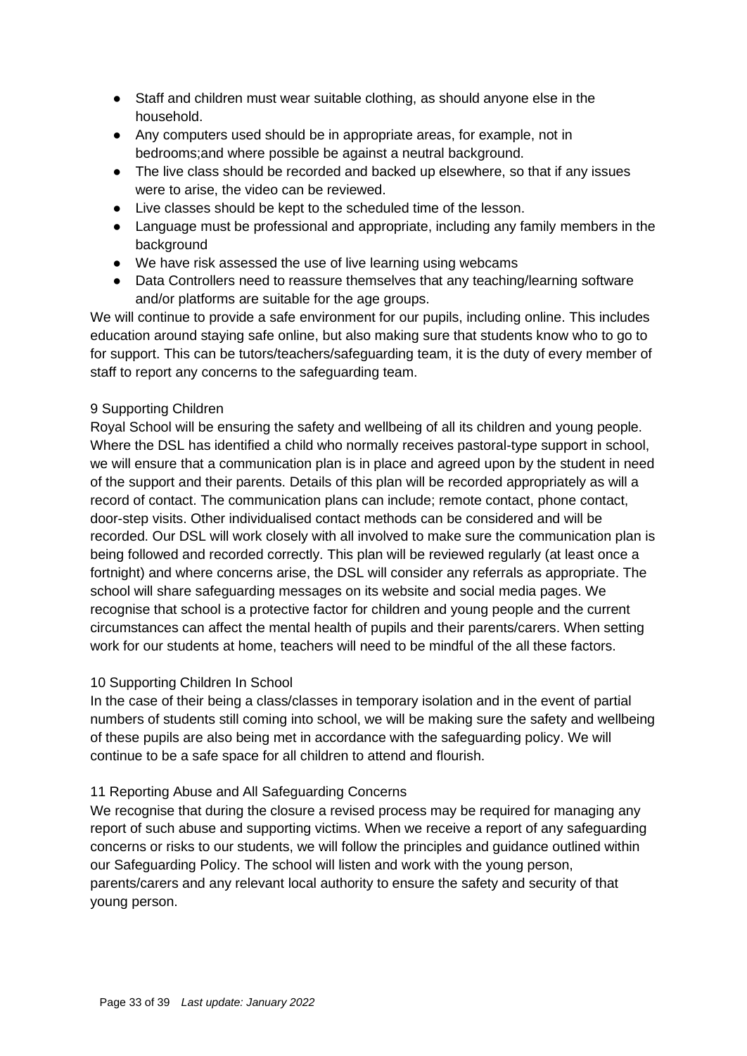- Staff and children must wear suitable clothing, as should anyone else in the household.
- Any computers used should be in appropriate areas, for example, not in bedrooms;and where possible be against a neutral background.
- The live class should be recorded and backed up elsewhere, so that if any issues were to arise, the video can be reviewed.
- Live classes should be kept to the scheduled time of the lesson.
- Language must be professional and appropriate, including any family members in the background
- We have risk assessed the use of live learning using webcams
- Data Controllers need to reassure themselves that any teaching/learning software and/or platforms are suitable for the age groups.

We will continue to provide a safe environment for our pupils, including online. This includes education around staying safe online, but also making sure that students know who to go to for support. This can be tutors/teachers/safeguarding team, it is the duty of every member of staff to report any concerns to the safeguarding team.

#### 9 Supporting Children

Royal School will be ensuring the safety and wellbeing of all its children and young people. Where the DSL has identified a child who normally receives pastoral-type support in school, we will ensure that a communication plan is in place and agreed upon by the student in need of the support and their parents. Details of this plan will be recorded appropriately as will a record of contact. The communication plans can include; remote contact, phone contact, door-step visits. Other individualised contact methods can be considered and will be recorded. Our DSL will work closely with all involved to make sure the communication plan is being followed and recorded correctly. This plan will be reviewed regularly (at least once a fortnight) and where concerns arise, the DSL will consider any referrals as appropriate. The school will share safeguarding messages on its website and social media pages. We recognise that school is a protective factor for children and young people and the current circumstances can affect the mental health of pupils and their parents/carers. When setting work for our students at home, teachers will need to be mindful of the all these factors.

#### 10 Supporting Children In School

In the case of their being a class/classes in temporary isolation and in the event of partial numbers of students still coming into school, we will be making sure the safety and wellbeing of these pupils are also being met in accordance with the safeguarding policy. We will continue to be a safe space for all children to attend and flourish.

#### 11 Reporting Abuse and All Safeguarding Concerns

We recognise that during the closure a revised process may be required for managing any report of such abuse and supporting victims. When we receive a report of any safeguarding concerns or risks to our students, we will follow the principles and guidance outlined within our Safeguarding Policy. The school will listen and work with the young person, parents/carers and any relevant local authority to ensure the safety and security of that young person.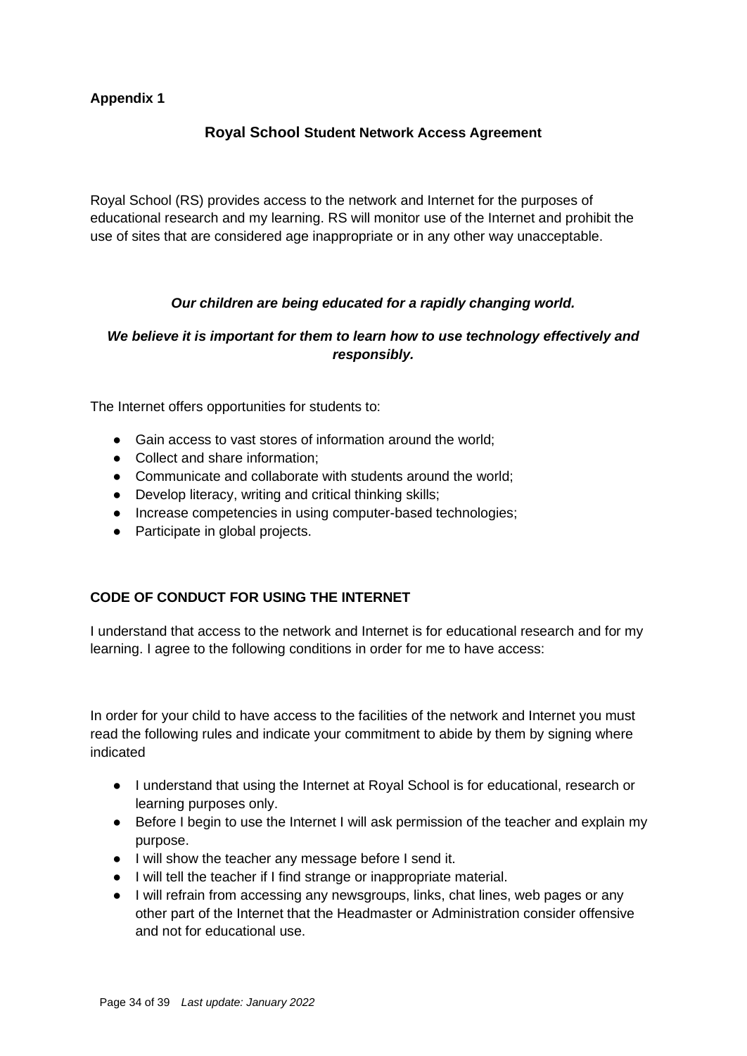### **Appendix 1**

### **Royal School Student Network Access Agreement**

Royal School (RS) provides access to the network and Internet for the purposes of educational research and my learning. RS will monitor use of the Internet and prohibit the use of sites that are considered age inappropriate or in any other way unacceptable.

#### *Our children are being educated for a rapidly changing world.*

### *We believe it is important for them to learn how to use technology effectively and responsibly.*

The Internet offers opportunities for students to:

- Gain access to vast stores of information around the world:
- Collect and share information:
- Communicate and collaborate with students around the world;
- Develop literacy, writing and critical thinking skills;
- Increase competencies in using computer-based technologies;
- Participate in global projects.

### **CODE OF CONDUCT FOR USING THE INTERNET**

I understand that access to the network and Internet is for educational research and for my learning. I agree to the following conditions in order for me to have access:

In order for your child to have access to the facilities of the network and Internet you must read the following rules and indicate your commitment to abide by them by signing where indicated

- I understand that using the Internet at Royal School is for educational, research or learning purposes only.
- Before I begin to use the Internet I will ask permission of the teacher and explain my purpose.
- I will show the teacher any message before I send it.
- I will tell the teacher if I find strange or inappropriate material.
- I will refrain from accessing any newsgroups, links, chat lines, web pages or any other part of the Internet that the Headmaster or Administration consider offensive and not for educational use.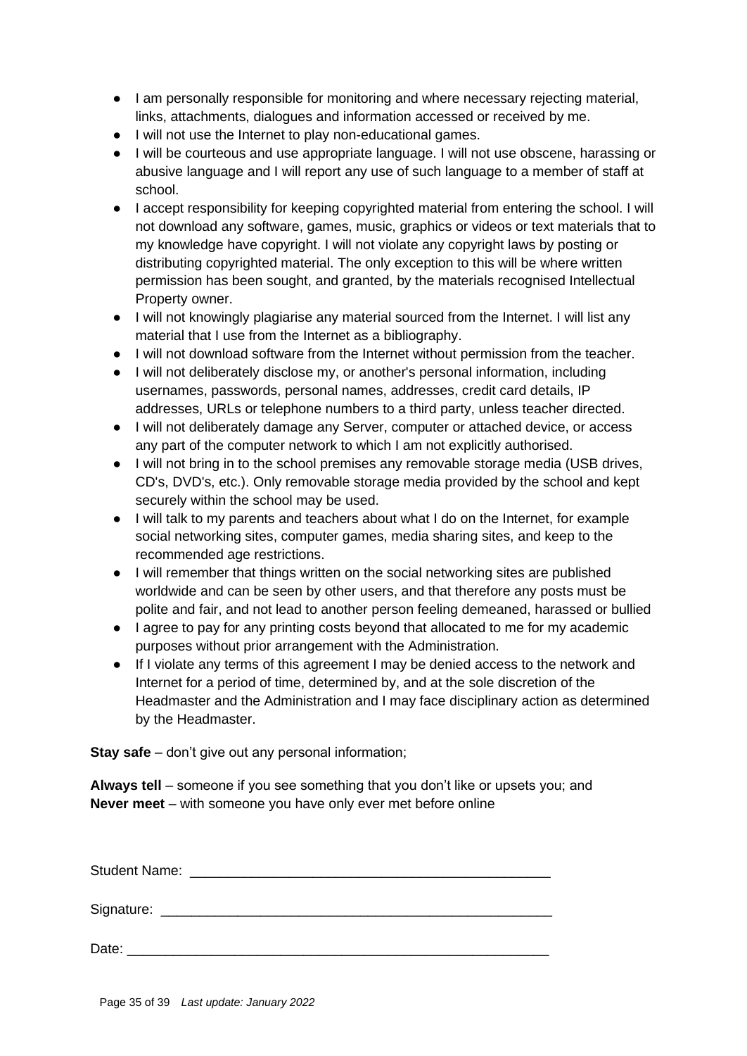- I am personally responsible for monitoring and where necessary rejecting material, links, attachments, dialogues and information accessed or received by me.
- I will not use the Internet to play non-educational games.
- I will be courteous and use appropriate language. I will not use obscene, harassing or abusive language and I will report any use of such language to a member of staff at school.
- I accept responsibility for keeping copyrighted material from entering the school. I will not download any software, games, music, graphics or videos or text materials that to my knowledge have copyright. I will not violate any copyright laws by posting or distributing copyrighted material. The only exception to this will be where written permission has been sought, and granted, by the materials recognised Intellectual Property owner.
- I will not knowingly plagiarise any material sourced from the Internet. I will list any material that I use from the Internet as a bibliography.
- I will not download software from the Internet without permission from the teacher.
- I will not deliberately disclose my, or another's personal information, including usernames, passwords, personal names, addresses, credit card details, IP addresses, URLs or telephone numbers to a third party, unless teacher directed.
- I will not deliberately damage any Server, computer or attached device, or access any part of the computer network to which I am not explicitly authorised.
- I will not bring in to the school premises any removable storage media (USB drives, CD's, DVD's, etc.). Only removable storage media provided by the school and kept securely within the school may be used.
- I will talk to my parents and teachers about what I do on the Internet, for example social networking sites, computer games, media sharing sites, and keep to the recommended age restrictions.
- I will remember that things written on the social networking sites are published worldwide and can be seen by other users, and that therefore any posts must be polite and fair, and not lead to another person feeling demeaned, harassed or bullied
- I agree to pay for any printing costs beyond that allocated to me for my academic purposes without prior arrangement with the Administration.
- If I violate any terms of this agreement I may be denied access to the network and Internet for a period of time, determined by, and at the sole discretion of the Headmaster and the Administration and I may face disciplinary action as determined by the Headmaster.

**Stay safe** – don't give out any personal information;

**Always tell** – someone if you see something that you don't like or upsets you; and **Never meet** – with someone you have only ever met before online

Student Name: **Example 2018** 

Signature: \_\_\_\_\_\_\_\_\_\_\_\_\_\_\_\_\_\_\_\_\_\_\_\_\_\_\_\_\_\_\_\_\_\_\_\_\_\_\_\_\_\_\_\_\_\_\_\_\_\_\_

Date: \_\_\_\_\_\_\_\_\_\_\_\_\_\_\_\_\_\_\_\_\_\_\_\_\_\_\_\_\_\_\_\_\_\_\_\_\_\_\_\_\_\_\_\_\_\_\_\_\_\_\_\_\_\_\_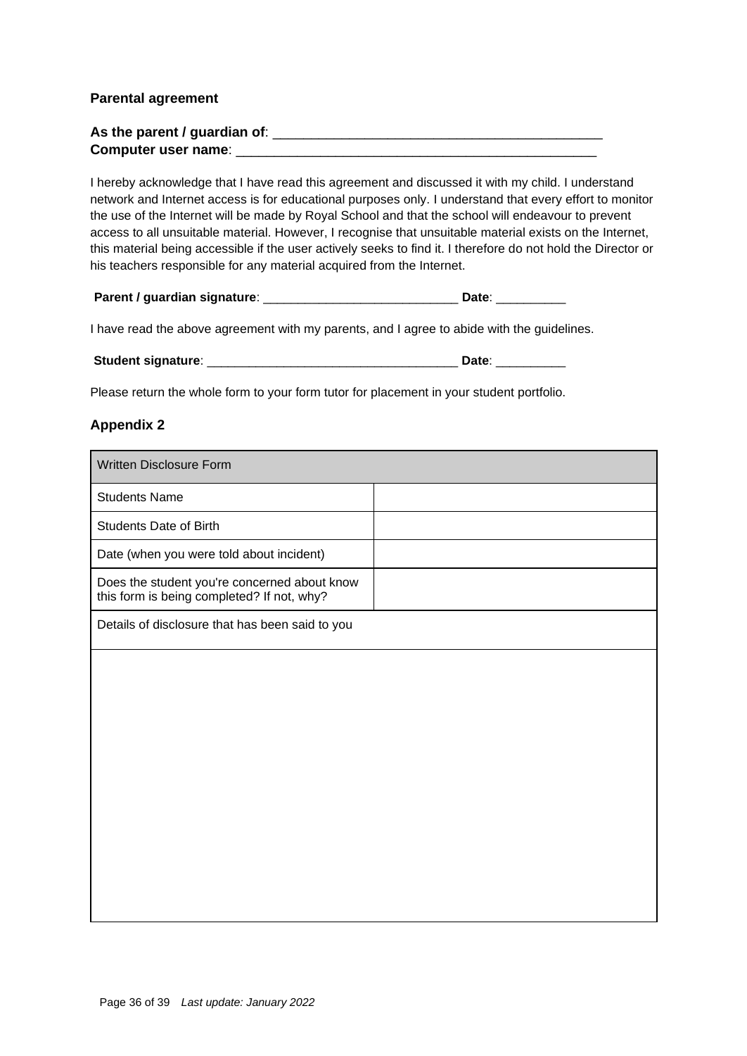#### **Parental agreement**

| As the parent / guardian of: |  |
|------------------------------|--|
| Computer user name:          |  |

I hereby acknowledge that I have read this agreement and discussed it with my child. I understand network and Internet access is for educational purposes only. I understand that every effort to monitor the use of the Internet will be made by Royal School and that the school will endeavour to prevent access to all unsuitable material. However, I recognise that unsuitable material exists on the Internet, this material being accessible if the user actively seeks to find it. I therefore do not hold the Director or his teachers responsible for any material acquired from the Internet.

I have read the above agreement with my parents, and I agree to abide with the guidelines.

| <b>Student signature:</b><br>Date: |
|------------------------------------|
|------------------------------------|

Please return the whole form to your form tutor for placement in your student portfolio.

#### **Appendix 2**

| Written Disclosure Form                                                                    |  |
|--------------------------------------------------------------------------------------------|--|
| <b>Students Name</b>                                                                       |  |
| <b>Students Date of Birth</b>                                                              |  |
| Date (when you were told about incident)                                                   |  |
| Does the student you're concerned about know<br>this form is being completed? If not, why? |  |
| Details of disclosure that has been said to you                                            |  |
|                                                                                            |  |
|                                                                                            |  |
|                                                                                            |  |
|                                                                                            |  |
|                                                                                            |  |
|                                                                                            |  |
|                                                                                            |  |
|                                                                                            |  |
|                                                                                            |  |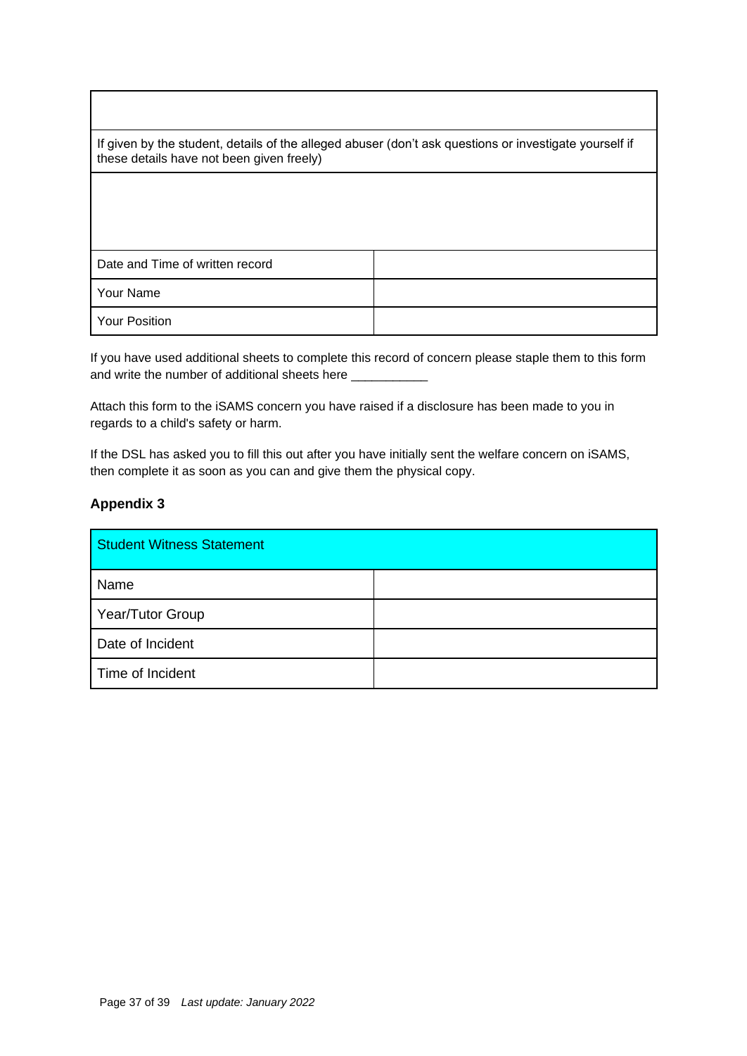If given by the student, details of the alleged abuser (don't ask questions or investigate yourself if these details have not been given freely)

| Date and Time of written record |  |
|---------------------------------|--|
| Your Name                       |  |
| Your Position                   |  |

If you have used additional sheets to complete this record of concern please staple them to this form and write the number of additional sheets here \_\_\_\_\_\_\_\_\_\_\_\_\_\_\_\_\_\_\_\_\_\_\_\_\_\_\_\_\_\_\_\_\_

Attach this form to the iSAMS concern you have raised if a disclosure has been made to you in regards to a child's safety or harm.

If the DSL has asked you to fill this out after you have initially sent the welfare concern on iSAMS, then complete it as soon as you can and give them the physical copy.

#### **Appendix 3**

| <b>Student Witness Statement</b> |  |
|----------------------------------|--|
| Name                             |  |
| Year/Tutor Group                 |  |
| Date of Incident                 |  |
| Time of Incident                 |  |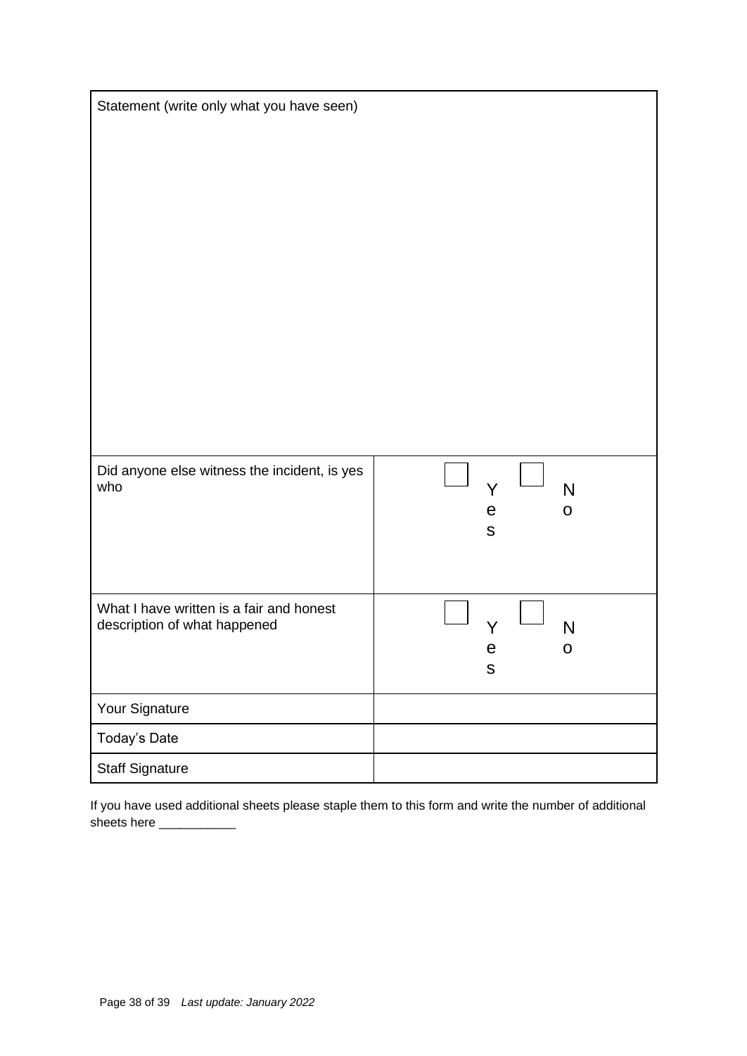| Statement (write only what you have seen)           |                                                 |  |  |
|-----------------------------------------------------|-------------------------------------------------|--|--|
|                                                     |                                                 |  |  |
|                                                     |                                                 |  |  |
|                                                     |                                                 |  |  |
|                                                     |                                                 |  |  |
|                                                     |                                                 |  |  |
|                                                     |                                                 |  |  |
|                                                     |                                                 |  |  |
|                                                     |                                                 |  |  |
|                                                     |                                                 |  |  |
|                                                     |                                                 |  |  |
|                                                     |                                                 |  |  |
|                                                     |                                                 |  |  |
|                                                     |                                                 |  |  |
| Did anyone else witness the incident, is yes<br>who |                                                 |  |  |
|                                                     | $\mathsf{N}$<br>Y<br>$\mathsf e$<br>$\mathbf O$ |  |  |
|                                                     | ${\sf S}$                                       |  |  |
|                                                     |                                                 |  |  |
|                                                     |                                                 |  |  |
| What I have written is a fair and honest            |                                                 |  |  |
| description of what happened                        | N                                               |  |  |
|                                                     | е<br>O<br>${\sf S}$                             |  |  |
|                                                     |                                                 |  |  |
| Your Signature                                      |                                                 |  |  |
| Today's Date                                        |                                                 |  |  |
| <b>Staff Signature</b>                              |                                                 |  |  |

If you have used additional sheets please staple them to this form and write the number of additional sheets here \_\_\_\_\_\_\_\_\_\_\_